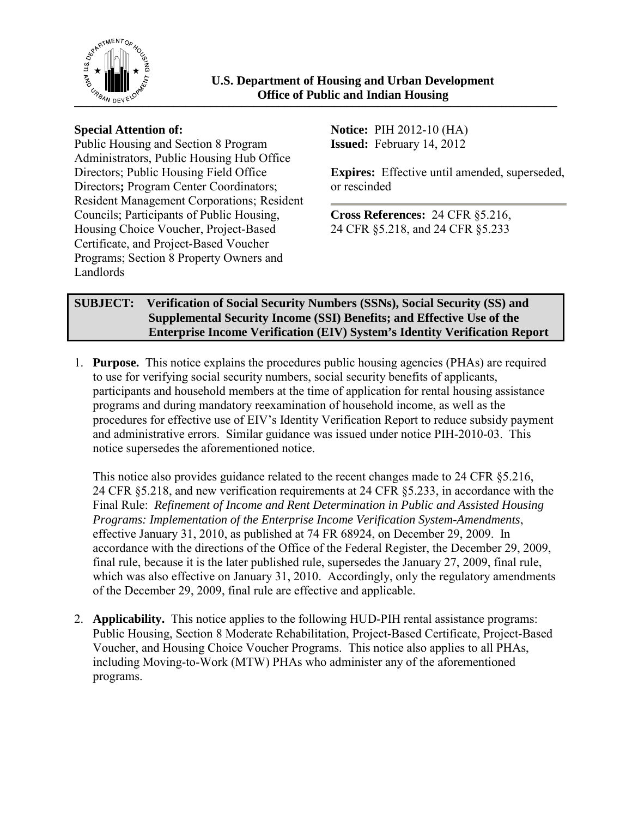

Public Housing and Section 8 Program Administrators, Public Housing Hub Office Directors; Public Housing Field Office Directors**;** Program Center Coordinators; Resident Management Corporations; Resident Councils; Participants of Public Housing, Housing Choice Voucher, Project-Based Certificate, and Project-Based Voucher Programs; Section 8 Property Owners and Landlords

**Special Attention of: Notice:** PIH 2012-10 (HA) **Issued:** February 14, 2012

> **Expires:** Effective until amended, superseded, or rescinded

**Cross References:** 24 CFR §5.216, 24 CFR §5.218, and 24 CFR §5.233

# **SUBJECT: Verification of Social Security Numbers (SSNs), Social Security (SS) and Supplemental Security Income (SSI) Benefits; and Effective Use of the Enterprise Income Verification (EIV) System's Identity Verification Report**

1. **Purpose.** This notice explains the procedures public housing agencies (PHAs) are required to use for verifying social security numbers, social security benefits of applicants, participants and household members at the time of application for rental housing assistance programs and during mandatory reexamination of household income, as well as the procedures for effective use of EIV's Identity Verification Report to reduce subsidy payment and administrative errors. Similar guidance was issued under notice PIH-2010-03. This notice supersedes the aforementioned notice.

This notice also provides guidance related to the recent changes made to 24 CFR §5.216, 24 CFR §5.218, and new verification requirements at 24 CFR §5.233, in accordance with the Final Rule: *Refinement of Income and Rent Determination in Public and Assisted Housing Programs: Implementation of the Enterprise Income Verification System-Amendments*, effective January 31, 2010, as published at 74 FR 68924, on December 29, 2009. In accordance with the directions of the Office of the Federal Register, the December 29, 2009, final rule, because it is the later published rule, supersedes the January 27, 2009, final rule, which was also effective on January 31, 2010. Accordingly, only the regulatory amendments of the December 29, 2009, final rule are effective and applicable.

2. **Applicability.** This notice applies to the following HUD-PIH rental assistance programs: Public Housing, Section 8 Moderate Rehabilitation, Project-Based Certificate, Project-Based Voucher, and Housing Choice Voucher Programs. This notice also applies to all PHAs, including Moving-to-Work (MTW) PHAs who administer any of the aforementioned programs.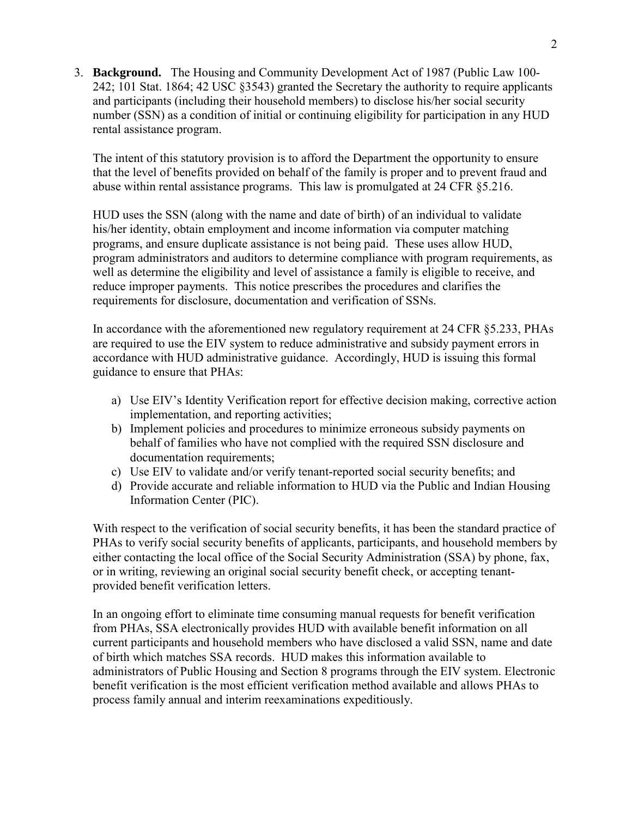3. **Background.** The Housing and Community Development Act of 1987 (Public Law 100- 242; 101 Stat. 1864; 42 USC §3543) granted the Secretary the authority to require applicants and participants (including their household members) to disclose his/her social security number (SSN) as a condition of initial or continuing eligibility for participation in any HUD rental assistance program.

The intent of this statutory provision is to afford the Department the opportunity to ensure that the level of benefits provided on behalf of the family is proper and to prevent fraud and abuse within rental assistance programs. This law is promulgated at 24 CFR §5.216.

HUD uses the SSN (along with the name and date of birth) of an individual to validate his/her identity, obtain employment and income information via computer matching programs, and ensure duplicate assistance is not being paid. These uses allow HUD, program administrators and auditors to determine compliance with program requirements, as well as determine the eligibility and level of assistance a family is eligible to receive, and reduce improper payments. This notice prescribes the procedures and clarifies the requirements for disclosure, documentation and verification of SSNs.

In accordance with the aforementioned new regulatory requirement at 24 CFR §5.233, PHAs are required to use the EIV system to reduce administrative and subsidy payment errors in accordance with HUD administrative guidance. Accordingly, HUD is issuing this formal guidance to ensure that PHAs:

- a) Use EIV's Identity Verification report for effective decision making, corrective action implementation, and reporting activities;
- b) Implement policies and procedures to minimize erroneous subsidy payments on behalf of families who have not complied with the required SSN disclosure and documentation requirements;
- c) Use EIV to validate and/or verify tenant-reported social security benefits; and
- d) Provide accurate and reliable information to HUD via the Public and Indian Housing Information Center (PIC).

With respect to the verification of social security benefits, it has been the standard practice of PHAs to verify social security benefits of applicants, participants, and household members by either contacting the local office of the Social Security Administration (SSA) by phone, fax, or in writing, reviewing an original social security benefit check, or accepting tenantprovided benefit verification letters.

In an ongoing effort to eliminate time consuming manual requests for benefit verification from PHAs, SSA electronically provides HUD with available benefit information on all current participants and household members who have disclosed a valid SSN, name and date of birth which matches SSA records. HUD makes this information available to administrators of Public Housing and Section 8 programs through the EIV system. Electronic benefit verification is the most efficient verification method available and allows PHAs to process family annual and interim reexaminations expeditiously.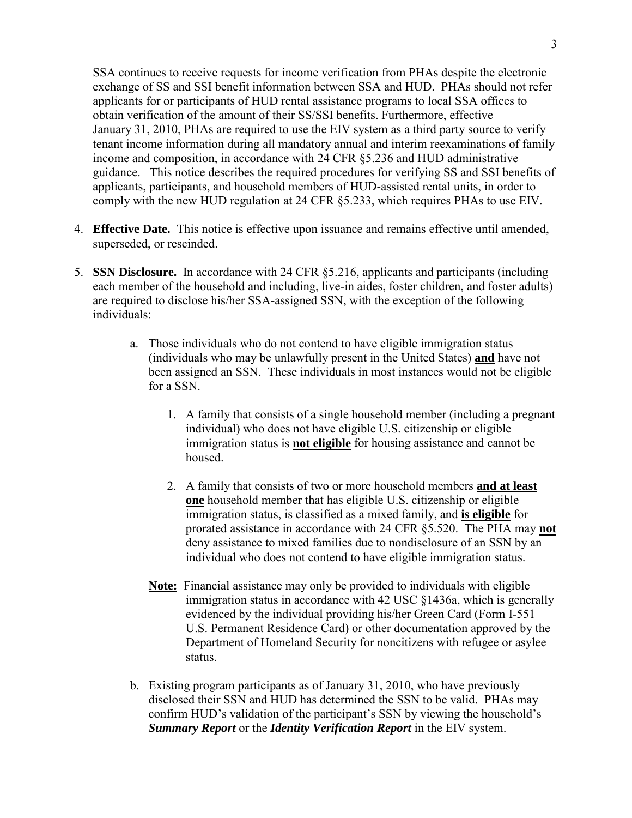SSA continues to receive requests for income verification from PHAs despite the electronic exchange of SS and SSI benefit information between SSA and HUD. PHAs should not refer applicants for or participants of HUD rental assistance programs to local SSA offices to obtain verification of the amount of their SS/SSI benefits. Furthermore, effective January 31, 2010, PHAs are required to use the EIV system as a third party source to verify tenant income information during all mandatory annual and interim reexaminations of family income and composition, in accordance with 24 CFR §5.236 and HUD administrative guidance. This notice describes the required procedures for verifying SS and SSI benefits of applicants, participants, and household members of HUD-assisted rental units, in order to comply with the new HUD regulation at 24 CFR §5.233, which requires PHAs to use EIV.

- 4. **Effective Date.** This notice is effective upon issuance and remains effective until amended, superseded, or rescinded.
- 5. **SSN Disclosure.** In accordance with 24 CFR §5.216, applicants and participants (including each member of the household and including, live-in aides, foster children, and foster adults) are required to disclose his/her SSA-assigned SSN, with the exception of the following individuals:
	- a. Those individuals who do not contend to have eligible immigration status (individuals who may be unlawfully present in the United States) **and** have not been assigned an SSN. These individuals in most instances would not be eligible for a SSN.
		- 1. A family that consists of a single household member (including a pregnant individual) who does not have eligible U.S. citizenship or eligible immigration status is **not eligible** for housing assistance and cannot be housed.
		- 2. A family that consists of two or more household members **and at least one** household member that has eligible U.S. citizenship or eligible immigration status, is classified as a mixed family, and **is eligible** for prorated assistance in accordance with 24 CFR §5.520. The PHA may **not** deny assistance to mixed families due to nondisclosure of an SSN by an individual who does not contend to have eligible immigration status.
		- **Note:** Financial assistance may only be provided to individuals with eligible immigration status in accordance with 42 USC §1436a, which is generally evidenced by the individual providing his/her Green Card (Form I-551 – U.S. Permanent Residence Card) or other documentation approved by the Department of Homeland Security for noncitizens with refugee or asylee status.
	- b. Existing program participants as of January 31, 2010, who have previously disclosed their SSN and HUD has determined the SSN to be valid. PHAs may confirm HUD's validation of the participant's SSN by viewing the household's *Summary Report* or the *Identity Verification Report* in the EIV system.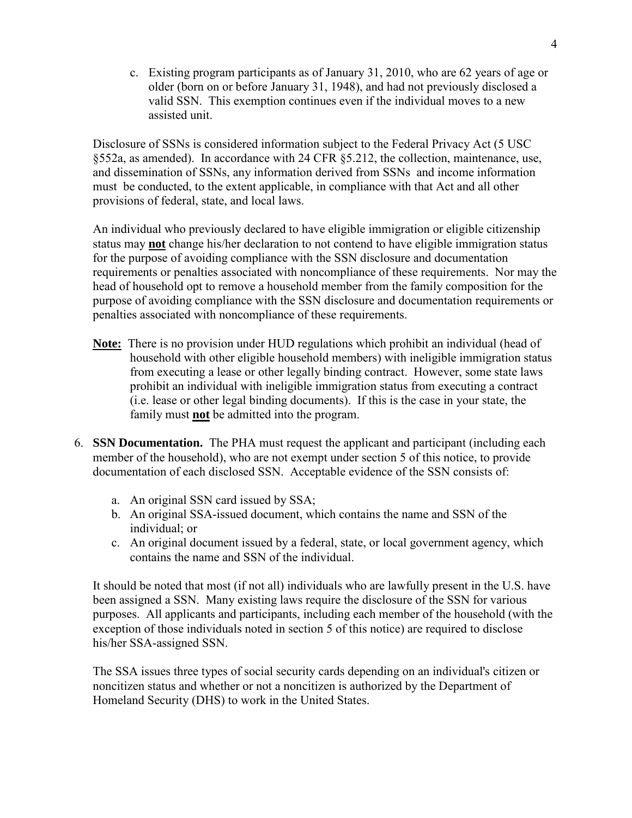c. Existing program participants as of January 31, 2010, who are 62 years of age or older (born on or before January 31, 1948), and had not previously disclosed a valid SSN. This exemption continues even if the individual moves to a new assisted unit.

Disclosure of SSNs is considered information subject to the Federal Privacy Act (5 USC §552a, as amended). In accordance with 24 CFR §5.212, the collection, maintenance, use, and dissemination of SSNs, any information derived from SSNs and income information must be conducted, to the extent applicable, in compliance with that Act and all other provisions of federal, state, and local laws.

An individual who previously declared to have eligible immigration or eligible citizenship status may **not** change his/her declaration to not contend to have eligible immigration status for the purpose of avoiding compliance with the SSN disclosure and documentation requirements or penalties associated with noncompliance of these requirements. Nor may the head of household opt to remove a household member from the family composition for the purpose of avoiding compliance with the SSN disclosure and documentation requirements or penalties associated with noncompliance of these requirements.

- **Note:** There is no provision under HUD regulations which prohibit an individual (head of household with other eligible household members) with ineligible immigration status from executing a lease or other legally binding contract. However, some state laws prohibit an individual with ineligible immigration status from executing a contract (i.e. lease or other legal binding documents). If this is the case in your state, the family must **not** be admitted into the program.
- 6. **SSN Documentation.** The PHA must request the applicant and participant (including each member of the household), who are not exempt under section 5 of this notice, to provide documentation of each disclosed SSN. Acceptable evidence of the SSN consists of:
	- a. An original SSN card issued by SSA;
	- b. An original SSA-issued document, which contains the name and SSN of the individual; or
	- c. An original document issued by a federal, state, or local government agency, which contains the name and SSN of the individual.

It should be noted that most (if not all) individuals who are lawfully present in the U.S. have been assigned a SSN. Many existing laws require the disclosure of the SSN for various purposes. All applicants and participants, including each member of the household (with the exception of those individuals noted in section 5 of this notice) are required to disclose his/her SSA-assigned SSN.

The SSA issues three types of social security cards depending on an individual's citizen or noncitizen status and whether or not a noncitizen is authorized by the Department of Homeland Security (DHS) to work in the United States.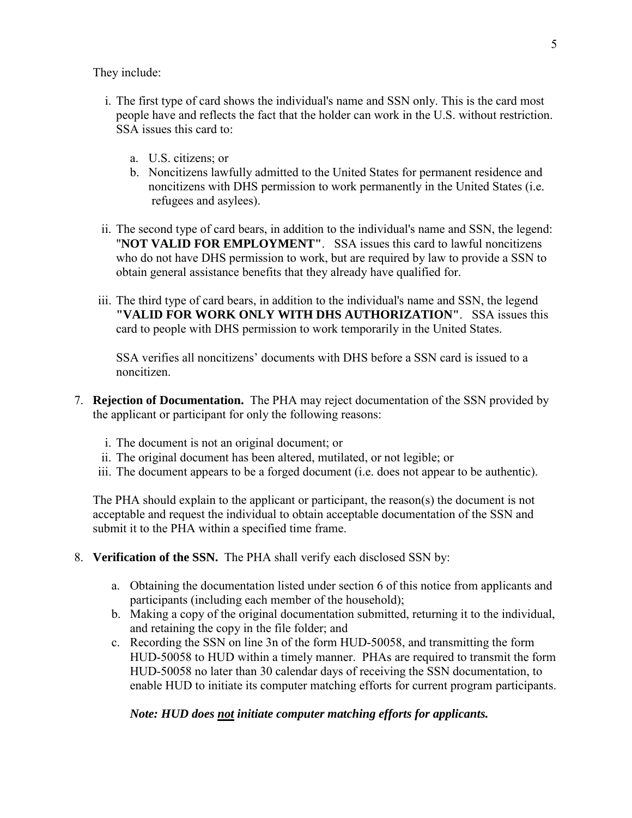They include:

- i. The first type of card shows the individual's name and SSN only. This is the card most people have and reflects the fact that the holder can work in the U.S. without restriction. SSA issues this card to:
	- a. U.S. citizens; or
	- b. Noncitizens lawfully admitted to the United States for permanent residence and noncitizens with DHS permission to work permanently in the United States (i.e. refugees and asylees).
- ii. The second type of card bears, in addition to the individual's name and SSN, the legend: "**NOT VALID FOR EMPLOYMENT"**. SSA issues this card to lawful noncitizens who do not have DHS permission to work, but are required by law to provide a SSN to obtain general assistance benefits that they already have qualified for.
- iii. The third type of card bears, in addition to the individual's name and SSN, the legend **"VALID FOR WORK ONLY WITH DHS AUTHORIZATION"**. SSA issues this card to people with DHS permission to work temporarily in the United States.

SSA verifies all noncitizens' documents with DHS before a SSN card is issued to a noncitizen.

- 7. **Rejection of Documentation.** The PHA may reject documentation of the SSN provided by the applicant or participant for only the following reasons:
	- i. The document is not an original document; or
	- ii. The original document has been altered, mutilated, or not legible; or
	- iii. The document appears to be a forged document (i.e. does not appear to be authentic).

The PHA should explain to the applicant or participant, the reason(s) the document is not acceptable and request the individual to obtain acceptable documentation of the SSN and submit it to the PHA within a specified time frame.

- 8. **Verification of the SSN.** The PHA shall verify each disclosed SSN by:
	- a. Obtaining the documentation listed under section 6 of this notice from applicants and participants (including each member of the household);
	- b. Making a copy of the original documentation submitted, returning it to the individual, and retaining the copy in the file folder; and
	- c. Recording the SSN on line 3n of the form HUD-50058, and transmitting the form HUD-50058 to HUD within a timely manner. PHAs are required to transmit the form HUD-50058 no later than 30 calendar days of receiving the SSN documentation, to enable HUD to initiate its computer matching efforts for current program participants.

### *Note: HUD does not initiate computer matching efforts for applicants.*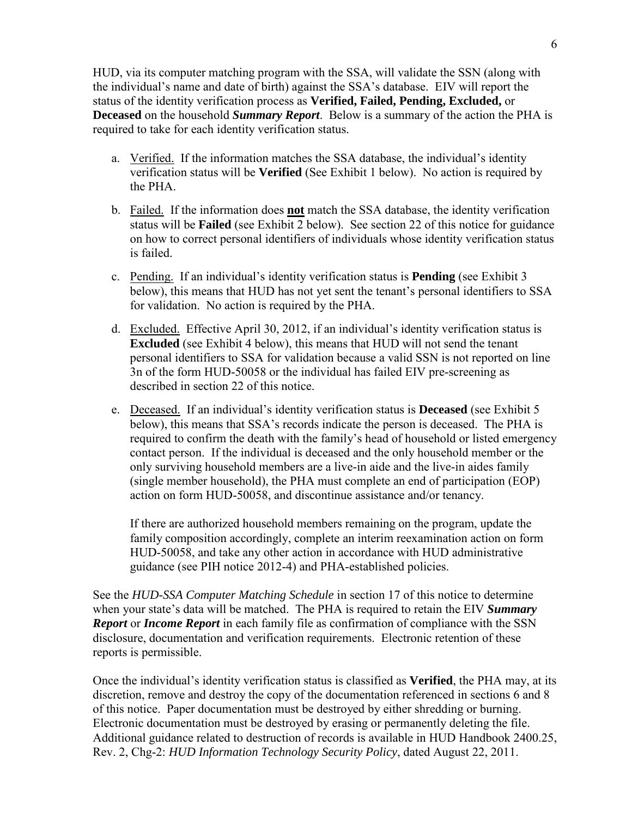HUD, via its computer matching program with the SSA, will validate the SSN (along with the individual's name and date of birth) against the SSA's database. EIV will report the status of the identity verification process as **Verified, Failed, Pending, Excluded,** or **Deceased** on the household *Summary Report*. Below is a summary of the action the PHA is required to take for each identity verification status.

- a. Verified. If the information matches the SSA database, the individual's identity verification status will be **Verified** (See Exhibit 1 below). No action is required by the PHA.
- b. Failed. If the information does **not** match the SSA database, the identity verification status will be **Failed** (see Exhibit 2 below). See section 22 of this notice for guidance on how to correct personal identifiers of individuals whose identity verification status is failed.
- c. Pending. If an individual's identity verification status is **Pending** (see Exhibit 3 below), this means that HUD has not yet sent the tenant's personal identifiers to SSA for validation. No action is required by the PHA.
- d. Excluded. Effective April 30, 2012, if an individual's identity verification status is **Excluded** (see Exhibit 4 below), this means that HUD will not send the tenant personal identifiers to SSA for validation because a valid SSN is not reported on line 3n of the form HUD-50058 or the individual has failed EIV pre-screening as described in section 22 of this notice.
- e. Deceased. If an individual's identity verification status is **Deceased** (see Exhibit 5 below), this means that SSA's records indicate the person is deceased. The PHA is required to confirm the death with the family's head of household or listed emergency contact person. If the individual is deceased and the only household member or the only surviving household members are a live-in aide and the live-in aides family (single member household), the PHA must complete an end of participation (EOP) action on form HUD-50058, and discontinue assistance and/or tenancy.

If there are authorized household members remaining on the program, update the family composition accordingly, complete an interim reexamination action on form HUD-50058, and take any other action in accordance with HUD administrative guidance (see PIH notice 2012-4) and PHA-established policies.

See the *HUD-SSA Computer Matching Schedule* in section 17 of this notice to determine when your state's data will be matched. The PHA is required to retain the EIV *Summary Report* or *Income Report* in each family file as confirmation of compliance with the SSN disclosure, documentation and verification requirements. Electronic retention of these reports is permissible.

Once the individual's identity verification status is classified as **Verified**, the PHA may, at its discretion, remove and destroy the copy of the documentation referenced in sections 6 and 8 of this notice. Paper documentation must be destroyed by either shredding or burning. Electronic documentation must be destroyed by erasing or permanently deleting the file. Additional guidance related to destruction of records is available in HUD Handbook 2400.25, Rev. 2, Chg-2: *HUD Information Technology Security Policy*, dated August 22, 2011.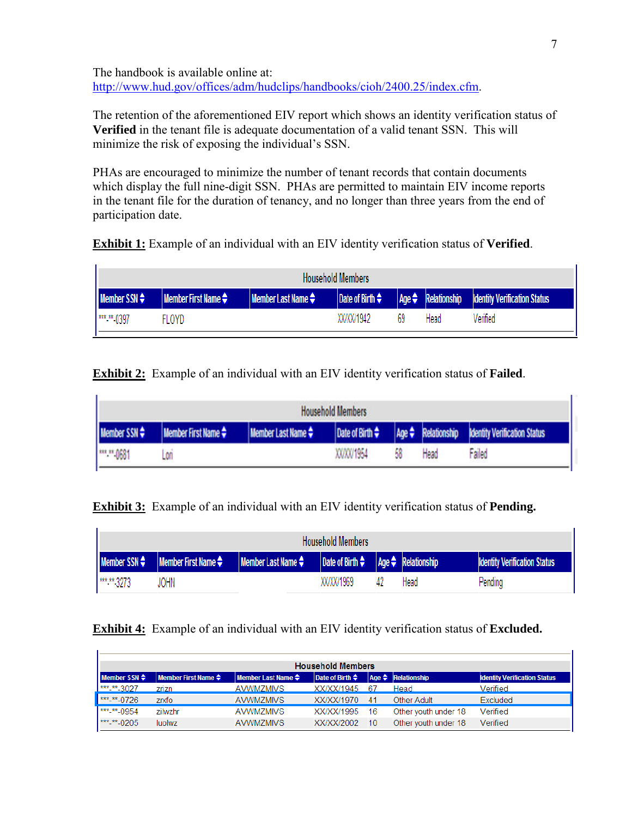The handbook is available online at: [http://www.hud.gov/offices/adm/hudclips/handbooks/cioh/2400.25/index.cfm.](http://www.hud.gov/offices/adm/hudclips/handbooks/cioh/2400.25/index.cfm)

The retention of the aforementioned EIV report which shows an identity verification status of **Verified** in the tenant file is adequate documentation of a valid tenant SSN. This will minimize the risk of exposing the individual's SSN.

PHAs are encouraged to minimize the number of tenant records that contain documents which display the full nine-digit SSN. PHAs are permitted to maintain EIV income reports in the tenant file for the duration of tenancy, and no longer than three years from the end of participation date.

**Exhibit 1:** Example of an individual with an EIV identity verification status of **Verified**.

ä,

÷.

| <b>Household Members</b> |                                            |                                           |                      |    |      |                                                                   |  |
|--------------------------|--------------------------------------------|-------------------------------------------|----------------------|----|------|-------------------------------------------------------------------|--|
| <b>Member SSN</b> $\div$ | <b>Member First Name <math>\div</math></b> | <b>Member Last Name <math>\div</math></b> | Date of Birth $\div$ |    |      | $\Box$ Age $\triangleq$ Relationship Identity Verification Status |  |
| *** <sub>**</sub> 0397   | FLOYD                                      |                                           | XX/XX/1942           | 69 | Head | Verified                                                          |  |

**Exhibit 2:** Example of an individual with an EIV identity verification status of **Failed**.

| <b>Household Members</b> |                          |                  |               |    |                         |                                     |
|--------------------------|--------------------------|------------------|---------------|----|-------------------------|-------------------------------------|
| <b>Member SSN</b> $\div$ | Member First Name $\div$ | Member Last Name | Date of Birth |    | $Age \div$ Relationship | <b>Identity Verification Status</b> |
| <b>PRES. PR. 0681</b>    | L00                      |                  | XX/XX/1954    | 58 | Head                    | Failed                              |

**Exhibit 3:** Example of an individual with an EIV identity verification status of **Pending.**

| <b>Household Members</b> |                                                                         |                                                                               |            |  |      |                                     |
|--------------------------|-------------------------------------------------------------------------|-------------------------------------------------------------------------------|------------|--|------|-------------------------------------|
|                          | <b>Member SSN <math>\div</math> Member First Name <math>\div</math></b> | <b>I</b> Member Last Name $\div$ Date of Birth $\div$ Age $\div$ Relationship |            |  |      | <b>Identity Verification Status</b> |
| *** ** 3273              | JOHN                                                                    |                                                                               | XX/XX/1969 |  | Head | Pending                             |

# **Exhibit 4:** Example of an individual with an EIV identity verification status of **Excluded.**

| <b>Household Members</b>              |                                                  |                                                 |                            |     |                                       |                                     |  |  |
|---------------------------------------|--------------------------------------------------|-------------------------------------------------|----------------------------|-----|---------------------------------------|-------------------------------------|--|--|
| <b>Member SSN</b> $\div$              | <b>Member First Name <math>\triangleq</math></b> | <b>Member Last Name <math>\triangleq</math></b> | Date of Birth $\triangleq$ |     | $\vert$ Age $\triangleq$ Relationship | <b>Identity Verification Status</b> |  |  |
| *** <sub>**</sub> ** <sub>-3027</sub> | zrizn                                            | AVWM7MIVS                                       | XX/XX/1945                 | -67 | Head                                  | Verified                            |  |  |
| *** ** 0726                           | zrxfo                                            | <b>AVWMZMIVS</b>                                | XX/XX/1970                 | 41  | Other Adult                           | Excluded                            |  |  |
| $1***$ $***$ 0954                     | zilwzhr                                          | <b>AVWM7MIVS</b>                                | XX/XX/1995                 | 16  | Other youth under 18                  | Verified                            |  |  |
| *** <sub>-</sub> ** <sub>-0205</sub>  | luolwz                                           | <b>AVWMZMIVS</b>                                | XX/XX/2002                 | 10  | Other youth under 18                  | Verified                            |  |  |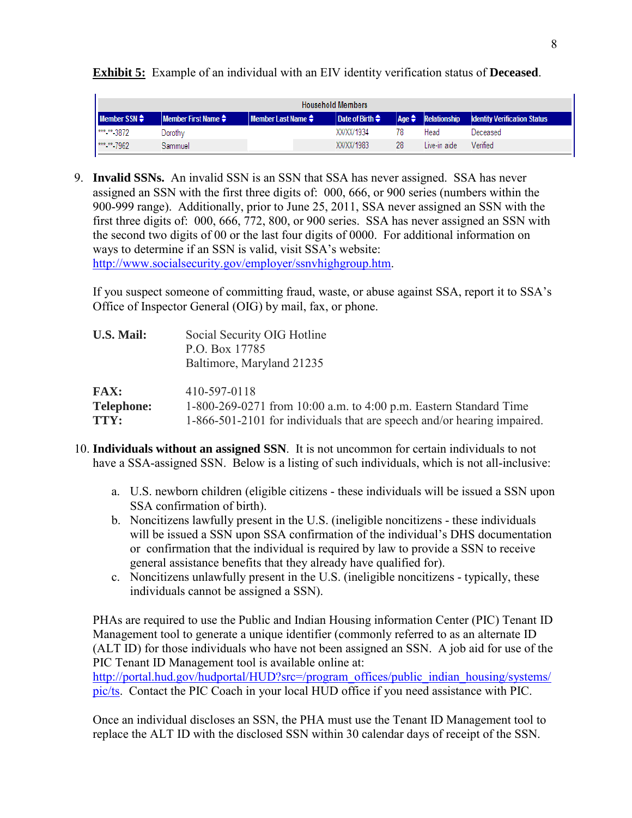| <b>Household Members</b> |                                                  |                                                |                      |    |                                |                                     |
|--------------------------|--------------------------------------------------|------------------------------------------------|----------------------|----|--------------------------------|-------------------------------------|
| Member $SSN \triangleq$  | <b>Member First Name <math>\triangleq</math></b> | <b>Member Last Name <math>\triangle</math></b> | Date of Birth $\div$ |    | $ Age \leftarrow$ Relationship | <b>Identity Verification Status</b> |
| *** ** 3872              | Dorothy                                          |                                                | XX/XX/1934           |    | Head                           | Deceased                            |
| *** ** 7962              | Sammuel                                          |                                                | XX/XX/1983           | 28 | Live-in aide                   | Verified                            |

**Exhibit 5:** Example of an individual with an EIV identity verification status of **Deceased**.

9. **Invalid SSNs.** An invalid SSN is an SSN that SSA has never assigned. SSA has never assigned an SSN with the first three digits of: 000, 666, or 900 series (numbers within the 900-999 range). Additionally, prior to June 25, 2011, SSA never assigned an SSN with the first three digits of: 000, 666, 772, 800, or 900 series. SSA has never assigned an SSN with the second two digits of 00 or the last four digits of 0000. For additional information on ways to determine if an SSN is valid, visit SSA's website: [http://www.socialsecurity.gov/employer/ssnvhighgroup.htm.](http://www.socialsecurity.gov/employer/ssnvhighgroup.htm)

If you suspect someone of committing fraud, waste, or abuse against SSA, report it to SSA's Office of Inspector General (OIG) by mail, fax, or phone.

| <b>U.S. Mail:</b> | Social Security OIG Hotline<br>P.O. Box 17785<br>Baltimore, Maryland 21235 |
|-------------------|----------------------------------------------------------------------------|
| <b>FAX:</b>       | 410-597-0118                                                               |
| <b>Telephone:</b> | 1-800-269-0271 from 10:00 a.m. to 4:00 p.m. Eastern Standard Time          |
| TTY:              | 1-866-501-2101 for individuals that are speech and/or hearing impaired.    |

- 10. **Individuals without an assigned SSN**. It is not uncommon for certain individuals to not have a SSA-assigned SSN. Below is a listing of such individuals, which is not all-inclusive:
	- a. U.S. newborn children (eligible citizens these individuals will be issued a SSN upon SSA confirmation of birth).
	- b. Noncitizens lawfully present in the U.S. (ineligible noncitizens these individuals will be issued a SSN upon SSA confirmation of the individual's DHS documentation or confirmation that the individual is required by law to provide a SSN to receive general assistance benefits that they already have qualified for).
	- c. Noncitizens unlawfully present in the U.S. (ineligible noncitizens typically, these individuals cannot be assigned a SSN).

PHAs are required to use the Public and Indian Housing information Center (PIC) Tenant ID Management tool to generate a unique identifier (commonly referred to as an alternate ID (ALT ID) for those individuals who have not been assigned an SSN. A job aid for use of the PIC Tenant ID Management tool is available online at:

[http://portal.hud.gov/hudportal/HUD?src=/program\\_offices/public\\_indian\\_housing/systems/](http://portal.hud.gov/hudportal/HUD?src=/program_offices/public_indian_housing/systems/pic/ts) [pic/ts](http://portal.hud.gov/hudportal/HUD?src=/program_offices/public_indian_housing/systems/pic/ts). Contact the PIC Coach in your local HUD office if you need assistance with PIC.

Once an individual discloses an SSN, the PHA must use the Tenant ID Management tool to replace the ALT ID with the disclosed SSN within 30 calendar days of receipt of the SSN.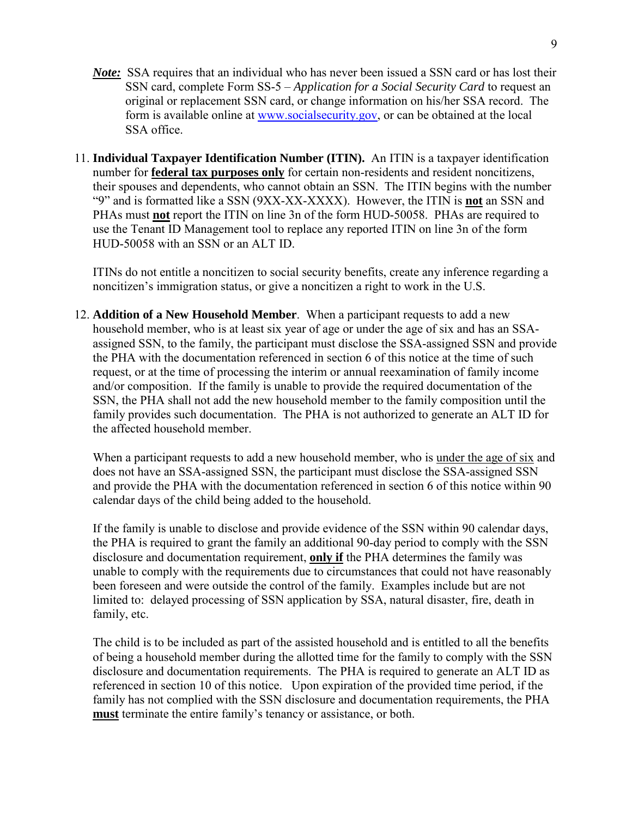- *Note:* SSA requires that an individual who has never been issued a SSN card or has lost their SSN card, complete Form SS-5 – *Application for a Social Security Card* to request an original or replacement SSN card, or change information on his/her SSA record. The form is available online at [www.socialsecurity.gov,](http://www.socialsecurity.gov/) or can be obtained at the local SSA office.
- 11. **Individual Taxpayer Identification Number (ITIN).** An ITIN is a taxpayer identification number for **federal tax purposes only** for certain non-residents and resident noncitizens, their spouses and dependents, who cannot obtain an SSN. The ITIN begins with the number "9" and is formatted like a SSN (9XX-XX-XXXX). However, the ITIN is **not** an SSN and PHAs must **not** report the ITIN on line 3n of the form HUD-50058. PHAs are required to use the Tenant ID Management tool to replace any reported ITIN on line 3n of the form HUD-50058 with an SSN or an ALT ID.

ITINs do not entitle a noncitizen to social security benefits, create any inference regarding a noncitizen's immigration status, or give a noncitizen a right to work in the U.S.

12. **Addition of a New Household Member**. When a participant requests to add a new household member, who is at least six year of age or under the age of six and has an SSAassigned SSN, to the family, the participant must disclose the SSA-assigned SSN and provide the PHA with the documentation referenced in section 6 of this notice at the time of such request, or at the time of processing the interim or annual reexamination of family income and/or composition. If the family is unable to provide the required documentation of the SSN, the PHA shall not add the new household member to the family composition until the family provides such documentation. The PHA is not authorized to generate an ALT ID for the affected household member.

When a participant requests to add a new household member, who is under the age of six and does not have an SSA-assigned SSN, the participant must disclose the SSA-assigned SSN and provide the PHA with the documentation referenced in section 6 of this notice within 90 calendar days of the child being added to the household.

If the family is unable to disclose and provide evidence of the SSN within 90 calendar days, the PHA is required to grant the family an additional 90-day period to comply with the SSN disclosure and documentation requirement, **only if** the PHA determines the family was unable to comply with the requirements due to circumstances that could not have reasonably been foreseen and were outside the control of the family. Examples include but are not limited to: delayed processing of SSN application by SSA, natural disaster, fire, death in family, etc.

The child is to be included as part of the assisted household and is entitled to all the benefits of being a household member during the allotted time for the family to comply with the SSN disclosure and documentation requirements. The PHA is required to generate an ALT ID as referenced in section 10 of this notice. Upon expiration of the provided time period, if the family has not complied with the SSN disclosure and documentation requirements, the PHA **must** terminate the entire family's tenancy or assistance, or both.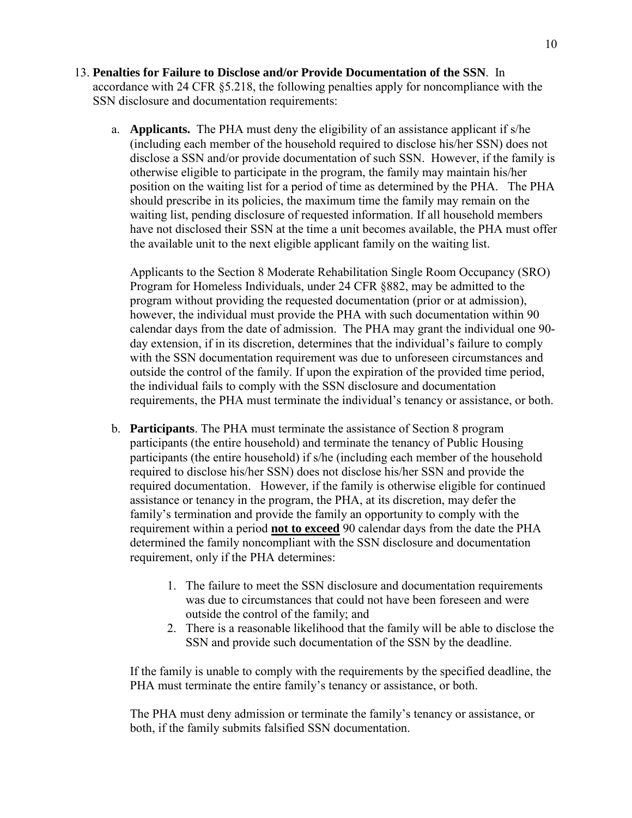- 13. **Penalties for Failure to Disclose and/or Provide Documentation of the SSN**. In accordance with 24 CFR §5.218, the following penalties apply for noncompliance with the SSN disclosure and documentation requirements:
	- a. **Applicants.** The PHA must deny the eligibility of an assistance applicant if s/he (including each member of the household required to disclose his/her SSN) does not disclose a SSN and/or provide documentation of such SSN. However, if the family is otherwise eligible to participate in the program, the family may maintain his/her position on the waiting list for a period of time as determined by the PHA. The PHA should prescribe in its policies, the maximum time the family may remain on the waiting list, pending disclosure of requested information. If all household members have not disclosed their SSN at the time a unit becomes available, the PHA must offer the available unit to the next eligible applicant family on the waiting list.

Applicants to the Section 8 Moderate Rehabilitation Single Room Occupancy (SRO) Program for Homeless Individuals, under 24 CFR §882, may be admitted to the program without providing the requested documentation (prior or at admission), however, the individual must provide the PHA with such documentation within 90 calendar days from the date of admission. The PHA may grant the individual one 90 day extension, if in its discretion, determines that the individual's failure to comply with the SSN documentation requirement was due to unforeseen circumstances and outside the control of the family. If upon the expiration of the provided time period, the individual fails to comply with the SSN disclosure and documentation requirements, the PHA must terminate the individual's tenancy or assistance, or both.

- b. **Participants**. The PHA must terminate the assistance of Section 8 program participants (the entire household) and terminate the tenancy of Public Housing participants (the entire household) if s/he (including each member of the household required to disclose his/her SSN) does not disclose his/her SSN and provide the required documentation. However, if the family is otherwise eligible for continued assistance or tenancy in the program, the PHA, at its discretion, may defer the family's termination and provide the family an opportunity to comply with the requirement within a period **not to exceed** 90 calendar days from the date the PHA determined the family noncompliant with the SSN disclosure and documentation requirement, only if the PHA determines:
	- 1. The failure to meet the SSN disclosure and documentation requirements was due to circumstances that could not have been foreseen and were outside the control of the family; and
	- 2. There is a reasonable likelihood that the family will be able to disclose the SSN and provide such documentation of the SSN by the deadline.

If the family is unable to comply with the requirements by the specified deadline, the PHA must terminate the entire family's tenancy or assistance, or both.

The PHA must deny admission or terminate the family's tenancy or assistance, or both, if the family submits falsified SSN documentation.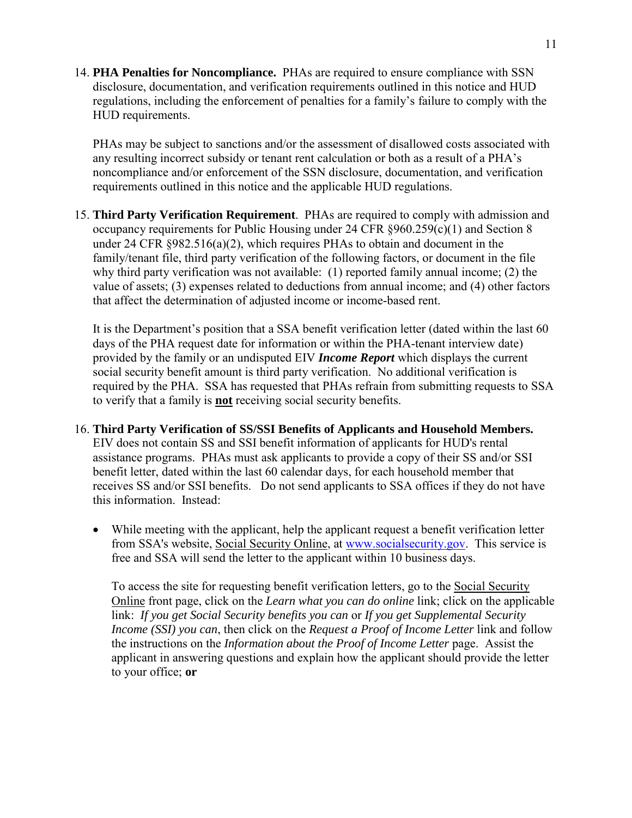14. **PHA Penalties for Noncompliance.** PHAs are required to ensure compliance with SSN disclosure, documentation, and verification requirements outlined in this notice and HUD regulations, including the enforcement of penalties for a family's failure to comply with the HUD requirements.

PHAs may be subject to sanctions and/or the assessment of disallowed costs associated with any resulting incorrect subsidy or tenant rent calculation or both as a result of a PHA's noncompliance and/or enforcement of the SSN disclosure, documentation, and verification requirements outlined in this notice and the applicable HUD regulations.

15. **Third Party Verification Requirement**. PHAs are required to comply with admission and occupancy requirements for Public Housing under 24 CFR §960.259(c)(1) and Section 8 under 24 CFR  $\S 982.516(a)(2)$ , which requires PHAs to obtain and document in the family/tenant file, third party verification of the following factors, or document in the file why third party verification was not available: (1) reported family annual income; (2) the value of assets; (3) expenses related to deductions from annual income; and (4) other factors that affect the determination of adjusted income or income-based rent.

It is the Department's position that a SSA benefit verification letter (dated within the last 60 days of the PHA request date for information or within the PHA-tenant interview date) provided by the family or an undisputed EIV *Income Report* which displays the current social security benefit amount is third party verification. No additional verification is required by the PHA. SSA has requested that PHAs refrain from submitting requests to SSA to verify that a family is **not** receiving social security benefits.

# 16. **Third Party Verification of SS/SSI Benefits of Applicants and Household Members.**

EIV does not contain SS and SSI benefit information of applicants for HUD's rental assistance programs. PHAs must ask applicants to provide a copy of their SS and/or SSI benefit letter, dated within the last 60 calendar days, for each household member that receives SS and/or SSI benefits. Do not send applicants to SSA offices if they do not have this information. Instead:

 While meeting with the applicant, help the applicant request a benefit verification letter from SSA's website, Social Security Online, at [www.socialsecurity.gov.](http://www.socialsecurity.gov/) This service is free and SSA will send the letter to the applicant within 10 business days.

To access the site for requesting benefit verification letters, go to the Social Security Online front page, click on the *Learn what you can do online* link; click on the applicable link: *If you get Social Security benefits you can* or *If you get Supplemental Security Income (SSI) you can*, then click on the *Request a Proof of Income Letter* link and follow the instructions on the *Information about the Proof of Income Letter* page. Assist the applicant in answering questions and explain how the applicant should provide the letter to your office; **or**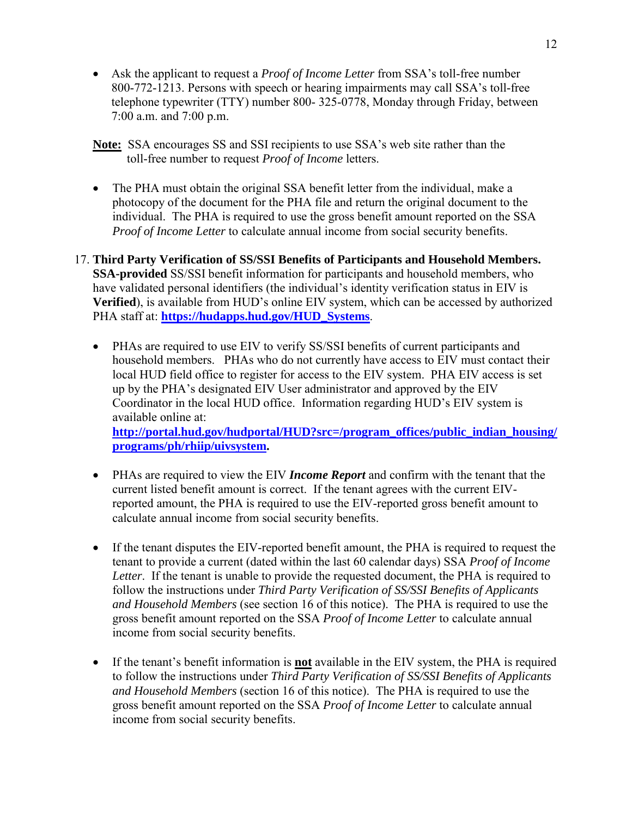- Ask the applicant to request a *Proof of Income Letter* from SSA's toll-free number 800-772-1213. Persons with speech or hearing impairments may call SSA's toll-free telephone typewriter (TTY) number 800- 325-0778, Monday through Friday, between 7:00 a.m. and 7:00 p.m.
- **Note:** SSA encourages SS and SSI recipients to use SSA's web site rather than the toll-free number to request *Proof of Income* letters.
- The PHA must obtain the original SSA benefit letter from the individual, make a photocopy of the document for the PHA file and return the original document to the individual. The PHA is required to use the gross benefit amount reported on the SSA *Proof of Income Letter* to calculate annual income from social security benefits.
- 17. **Third Party Verification of SS/SSI Benefits of Participants and Household Members. SSA-provided** SS/SSI benefit information for participants and household members, who have validated personal identifiers (the individual's identity verification status in EIV is **Verified**), is available from HUD's online EIV system, which can be accessed by authorized PHA staff at: **[https://hudapps.hud.gov/HUD\\_Systems](https://hudapps.hud.gov/HUD_Systems)**.
	- PHAs are required to use EIV to verify SS/SSI benefits of current participants and household members. PHAs who do not currently have access to EIV must contact their local HUD field office to register for access to the EIV system. PHA EIV access is set up by the PHA's designated EIV User administrator and approved by the EIV Coordinator in the local HUD office. Information regarding HUD's EIV system is available online at: **[http://portal.hud.gov/hudportal/HUD?src=/program\\_offices/public\\_indian\\_housing/](http://portal.hud.gov/hudportal/HUD?src=/program_offices/public_indian_housing/programs/ph/rhiip/uivsystem)**

**[programs/ph/rhiip/uivsystem](http://portal.hud.gov/hudportal/HUD?src=/program_offices/public_indian_housing/programs/ph/rhiip/uivsystem).**

- PHAs are required to view the EIV *Income Report* and confirm with the tenant that the current listed benefit amount is correct. If the tenant agrees with the current EIVreported amount, the PHA is required to use the EIV-reported gross benefit amount to calculate annual income from social security benefits.
- If the tenant disputes the EIV-reported benefit amount, the PHA is required to request the tenant to provide a current (dated within the last 60 calendar days) SSA *Proof of Income Letter*. If the tenant is unable to provide the requested document, the PHA is required to follow the instructions under *Third Party Verification of SS/SSI Benefits of Applicants and Household Members* (see section 16 of this notice). The PHA is required to use the gross benefit amount reported on the SSA *Proof of Income Letter* to calculate annual income from social security benefits.
- If the tenant's benefit information is **not** available in the EIV system, the PHA is required to follow the instructions under *Third Party Verification of SS/SSI Benefits of Applicants and Household Members* (section 16 of this notice). The PHA is required to use the gross benefit amount reported on the SSA *Proof of Income Letter* to calculate annual income from social security benefits.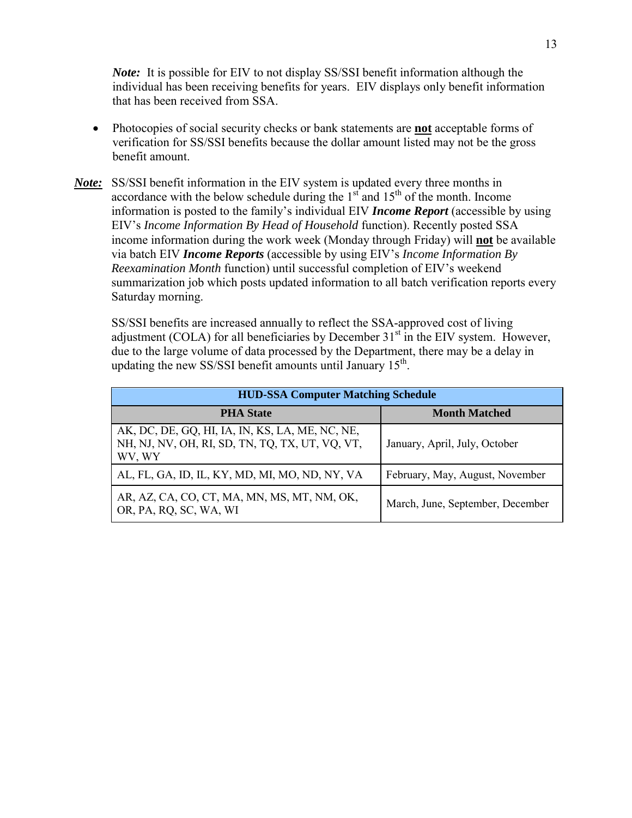*Note:* It is possible for EIV to not display SS/SSI benefit information although the individual has been receiving benefits for years. EIV displays only benefit information that has been received from SSA.

- Photocopies of social security checks or bank statements are **not** acceptable forms of verification for SS/SSI benefits because the dollar amount listed may not be the gross benefit amount.
- *Note:* SS/SSI benefit information in the EIV system is updated every three months in accordance with the below schedule during the  $1<sup>st</sup>$  and  $15<sup>th</sup>$  of the month. Income information is posted to the family's individual EIV *Income Report* (accessible by using EIV's *Income Information By Head of Household* function). Recently posted SSA income information during the work week (Monday through Friday) will **not** be available via batch EIV *Income Reports* (accessible by using EIV's *Income Information By Reexamination Month* function) until successful completion of EIV's weekend summarization job which posts updated information to all batch verification reports every Saturday morning.

SS/SSI benefits are increased annually to reflect the SSA-approved cost of living adjustment (COLA) for all beneficiaries by December  $31<sup>st</sup>$  in the EIV system. However, due to the large volume of data processed by the Department, there may be a delay in updating the new SS/SSI benefit amounts until January 15<sup>th</sup>.

| <b>HUD-SSA Computer Matching Schedule</b>                                                                    |                                  |  |  |  |  |
|--------------------------------------------------------------------------------------------------------------|----------------------------------|--|--|--|--|
| <b>PHA State</b>                                                                                             | <b>Month Matched</b>             |  |  |  |  |
| AK, DC, DE, GQ, HI, IA, IN, KS, LA, ME, NC, NE,<br>NH, NJ, NV, OH, RI, SD, TN, TQ, TX, UT, VQ, VT,<br>WV, WY | January, April, July, October    |  |  |  |  |
| AL, FL, GA, ID, IL, KY, MD, MI, MO, ND, NY, VA                                                               | February, May, August, November  |  |  |  |  |
| AR, AZ, CA, CO, CT, MA, MN, MS, MT, NM, OK,<br>OR, PA, RQ, SC, WA, WI                                        | March, June, September, December |  |  |  |  |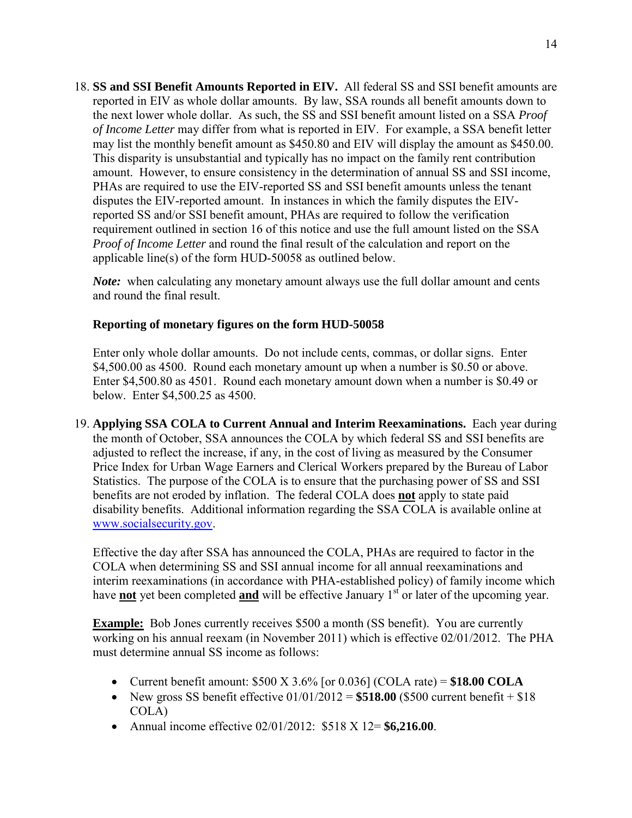18. **SS and SSI Benefit Amounts Reported in EIV.** All federal SS and SSI benefit amounts are reported in EIV as whole dollar amounts. By law, SSA rounds all benefit amounts down to the next lower whole dollar. As such, the SS and SSI benefit amount listed on a SSA *Proof of Income Letter* may differ from what is reported in EIV. For example, a SSA benefit letter may list the monthly benefit amount as \$450.80 and EIV will display the amount as \$450.00. This disparity is unsubstantial and typically has no impact on the family rent contribution amount. However, to ensure consistency in the determination of annual SS and SSI income, PHAs are required to use the EIV-reported SS and SSI benefit amounts unless the tenant disputes the EIV-reported amount. In instances in which the family disputes the EIVreported SS and/or SSI benefit amount, PHAs are required to follow the verification requirement outlined in section 16 of this notice and use the full amount listed on the SSA *Proof of Income Letter* and round the final result of the calculation and report on the applicable line(s) of the form HUD-50058 as outlined below.

*Note:* when calculating any monetary amount always use the full dollar amount and cents and round the final result.

## **Reporting of monetary figures on the form HUD-50058**

Enter only whole dollar amounts. Do not include cents, commas, or dollar signs. Enter \$4,500.00 as 4500. Round each monetary amount up when a number is \$0.50 or above. Enter \$4,500.80 as 4501. Round each monetary amount down when a number is \$0.49 or below. Enter \$4,500.25 as 4500.

19. **Applying SSA COLA to Current Annual and Interim Reexaminations.** Each year during the month of October, SSA announces the COLA by which federal SS and SSI benefits are adjusted to reflect the increase, if any, in the cost of living as measured by the Consumer Price Index for Urban Wage Earners and Clerical Workers prepared by the Bureau of Labor Statistics. The purpose of the COLA is to ensure that the purchasing power of SS and SSI benefits are not eroded by inflation. The federal COLA does **not** apply to state paid disability benefits. Additional information regarding the SSA COLA is available online at [www.socialsecurity.gov.](http://www.socialsecurity.gov/)

Effective the day after SSA has announced the COLA, PHAs are required to factor in the COLA when determining SS and SSI annual income for all annual reexaminations and interim reexaminations (in accordance with PHA-established policy) of family income which have **not** yet been completed **and** will be effective January 1<sup>st</sup> or later of the upcoming year.

**Example:** Bob Jones currently receives \$500 a month (SS benefit). You are currently working on his annual reexam (in November 2011) which is effective 02/01/2012. The PHA must determine annual SS income as follows:

- Current benefit amount:  $$500 \text{ X } 3.6\%$  [or 0.036] (COLA rate) =  $$18.00 \text{ COLA}$
- New gross SS benefit effective  $01/01/2012 = $518.00$  (\$500 current benefit  $+ $18$ ) COLA)
- Annual income effective 02/01/2012: \$518 X 12= **\$6,216.00**.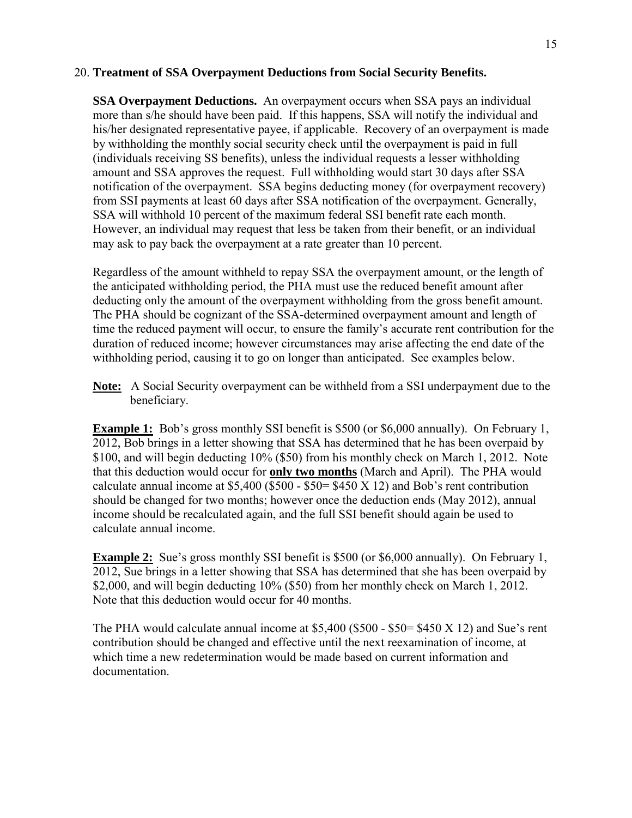#### 20. **Treatment of SSA Overpayment Deductions from Social Security Benefits.**

**SSA Overpayment Deductions.** An overpayment occurs when SSA pays an individual more than s/he should have been paid. If this happens, SSA will notify the individual and his/her designated representative payee, if applicable. Recovery of an overpayment is made by withholding the monthly social security check until the overpayment is paid in full (individuals receiving SS benefits), unless the individual requests a lesser withholding amount and SSA approves the request. Full withholding would start 30 days after SSA notification of the overpayment. SSA begins deducting money (for overpayment recovery) from SSI payments at least 60 days after SSA notification of the overpayment. Generally, SSA will withhold 10 percent of the maximum federal SSI benefit rate each month. However, an individual may request that less be taken from their benefit, or an individual may ask to pay back the overpayment at a rate greater than 10 percent.

Regardless of the amount withheld to repay SSA the overpayment amount, or the length of the anticipated withholding period, the PHA must use the reduced benefit amount after deducting only the amount of the overpayment withholding from the gross benefit amount. The PHA should be cognizant of the SSA-determined overpayment amount and length of time the reduced payment will occur, to ensure the family's accurate rent contribution for the duration of reduced income; however circumstances may arise affecting the end date of the withholding period, causing it to go on longer than anticipated. See examples below.

**Note:** A Social Security overpayment can be withheld from a SSI underpayment due to the beneficiary.

**Example 1:** Bob's gross monthly SSI benefit is \$500 (or \$6,000 annually). On February 1, 2012, Bob brings in a letter showing that SSA has determined that he has been overpaid by \$100, and will begin deducting 10% (\$50) from his monthly check on March 1, 2012. Note that this deduction would occur for **only two months** (March and April). The PHA would calculate annual income at  $$5,400$  ( $$500 - $50 = $450$  X 12) and Bob's rent contribution should be changed for two months; however once the deduction ends (May 2012), annual income should be recalculated again, and the full SSI benefit should again be used to calculate annual income.

**Example 2:** Sue's gross monthly SSI benefit is \$500 (or \$6,000 annually). On February 1, 2012, Sue brings in a letter showing that SSA has determined that she has been overpaid by \$2,000, and will begin deducting 10% (\$50) from her monthly check on March 1, 2012. Note that this deduction would occur for 40 months.

The PHA would calculate annual income at \$5,400 (\$500 - \$50= \$450 X 12) and Sue's rent contribution should be changed and effective until the next reexamination of income, at which time a new redetermination would be made based on current information and documentation.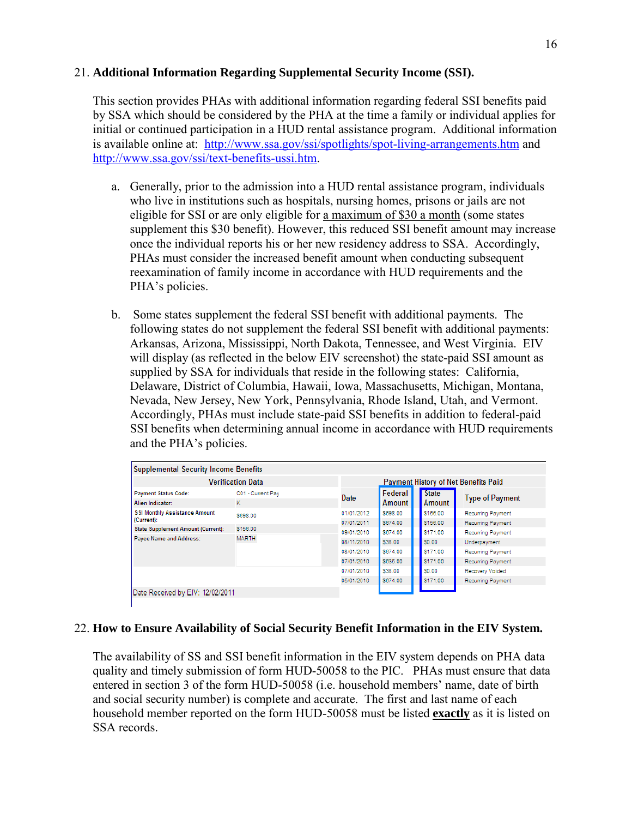## 21. **Additional Information Regarding Supplemental Security Income (SSI).**

This section provides PHAs with additional information regarding federal SSI benefits paid by SSA which should be considered by the PHA at the time a family or individual applies for initial or continued participation in a HUD rental assistance program. Additional information is available online at: <http://www.ssa.gov/ssi/spotlights/spot-living-arrangements.htm> and <http://www.ssa.gov/ssi/text-benefits-ussi.htm>.

- a. Generally, prior to the admission into a HUD rental assistance program, individuals who live in institutions such as hospitals, nursing homes, prisons or jails are not eligible for SSI or are only eligible for a maximum of \$30 a month (some states supplement this \$30 benefit). However, this reduced SSI benefit amount may increase once the individual reports his or her new residency address to SSA. Accordingly, PHAs must consider the increased benefit amount when conducting subsequent reexamination of family income in accordance with HUD requirements and the PHA's policies.
- b. Some states supplement the federal SSI benefit with additional payments. The following states do not supplement the federal SSI benefit with additional payments: Arkansas, Arizona, Mississippi, North Dakota, Tennessee, and West Virginia. EIV will display (as reflected in the below EIV screenshot) the state-paid SSI amount as supplied by SSA for individuals that reside in the following states: California, Delaware, District of Columbia, Hawaii, Iowa, Massachusetts, Michigan, Montana, Nevada, New Jersey, New York, Pennsylvania, Rhode Island, Utah, and Vermont. Accordingly, PHAs must include state-paid SSI benefits in addition to federal-paid SSI benefits when determining annual income in accordance with HUD requirements and the PHA's policies.

| <b>Supplemental Security Income Benefits</b>       |                        |                                             |                      |                        |                                               |
|----------------------------------------------------|------------------------|---------------------------------------------|----------------------|------------------------|-----------------------------------------------|
| <b>Verification Data</b>                           |                        | <b>Payment History of Net Benefits Paid</b> |                      |                        |                                               |
| <b>Payment Status Code:</b><br>Alien Indicator:    | C01 - Current Pay<br>ĸ | Date                                        | Federal<br>Amount    | <b>State</b><br>Amount | <b>Type of Payment</b>                        |
| <b>SSI Monthly Assistance Amount</b><br>(Current): | \$698.00               | 01/01/2012<br>07/01/2011                    | \$698.00<br>\$674.00 | \$156.00<br>\$156.00   | Recurring Payment<br>Recurring Payment        |
| <b>State Supplement Amount (Current):</b>          | \$156.00               | 09/01/2010                                  | \$674.00             | \$171.00               | Recurring Payment                             |
| Payee Name and Address:                            | <b>MARTH</b>           | 08/11/2010                                  | \$38.00              | S0.00                  | Underpayment                                  |
|                                                    |                        | 08/01/2010<br>07/01/2010                    | \$674.00<br>\$635.00 | \$171.00<br>\$171.00   | <b>Recurring Payment</b><br>Recurring Payment |
|                                                    |                        | 07/01/2010                                  | \$38.00              | \$0.00                 | Recovery Voided                               |
|                                                    |                        | 05/01/2010                                  | \$674.00             | \$171.00               | Recurring Payment                             |
| Date Received by EIV: 12/02/2011                   |                        |                                             |                      |                        |                                               |

## 22. **How to Ensure Availability of Social Security Benefit Information in the EIV System.**

The availability of SS and SSI benefit information in the EIV system depends on PHA data quality and timely submission of form HUD-50058 to the PIC. PHAs must ensure that data entered in section 3 of the form HUD-50058 (i.e. household members' name, date of birth and social security number) is complete and accurate. The first and last name of each household member reported on the form HUD-50058 must be listed **exactly** as it is listed on SSA records.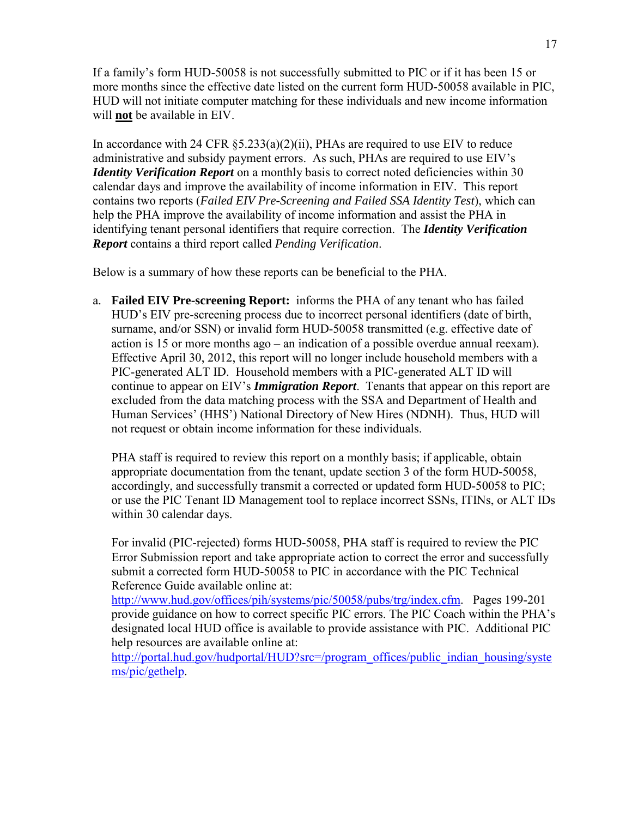If a family's form HUD-50058 is not successfully submitted to PIC or if it has been 15 or more months since the effective date listed on the current form HUD-50058 available in PIC, HUD will not initiate computer matching for these individuals and new income information will **not** be available in EIV.

In accordance with 24 CFR  $\S 5.233(a)(2)(ii)$ , PHAs are required to use EIV to reduce administrative and subsidy payment errors. As such, PHAs are required to use EIV's *Identity Verification Report* on a monthly basis to correct noted deficiencies within 30 calendar days and improve the availability of income information in EIV. This report contains two reports (*Failed EIV Pre-Screening and Failed SSA Identity Test*), which can help the PHA improve the availability of income information and assist the PHA in identifying tenant personal identifiers that require correction. The *Identity Verification Report* contains a third report called *Pending Verification*.

Below is a summary of how these reports can be beneficial to the PHA.

a. **Failed EIV Pre-screening Report:** informs the PHA of any tenant who has failed HUD's EIV pre-screening process due to incorrect personal identifiers (date of birth, surname, and/or SSN) or invalid form HUD-50058 transmitted (e.g. effective date of action is 15 or more months ago – an indication of a possible overdue annual reexam). Effective April 30, 2012, this report will no longer include household members with a PIC-generated ALT ID. Household members with a PIC-generated ALT ID will continue to appear on EIV's *Immigration Report*. Tenants that appear on this report are excluded from the data matching process with the SSA and Department of Health and Human Services' (HHS') National Directory of New Hires (NDNH). Thus, HUD will not request or obtain income information for these individuals.

PHA staff is required to review this report on a monthly basis; if applicable, obtain appropriate documentation from the tenant, update section 3 of the form HUD-50058, accordingly, and successfully transmit a corrected or updated form HUD-50058 to PIC; or use the PIC Tenant ID Management tool to replace incorrect SSNs, ITINs, or ALT IDs within 30 calendar days.

For invalid (PIC-rejected) forms HUD-50058, PHA staff is required to review the PIC Error Submission report and take appropriate action to correct the error and successfully submit a corrected form HUD-50058 to PIC in accordance with the PIC Technical Reference Guide available online at:

<http://www.hud.gov/offices/pih/systems/pic/50058/pubs/trg/index.cfm>. Pages 199-201 provide guidance on how to correct specific PIC errors. The PIC Coach within the PHA's designated local HUD office is available to provide assistance with PIC. Additional PIC help resources are available online at:

[http://portal.hud.gov/hudportal/HUD?src=/program\\_offices/public\\_indian\\_housing/syste](http://portal.hud.gov/hudportal/HUD?src=/program_offices/public_indian_housing/systems/pic/gethelp) [ms/pic/gethelp.](http://portal.hud.gov/hudportal/HUD?src=/program_offices/public_indian_housing/systems/pic/gethelp)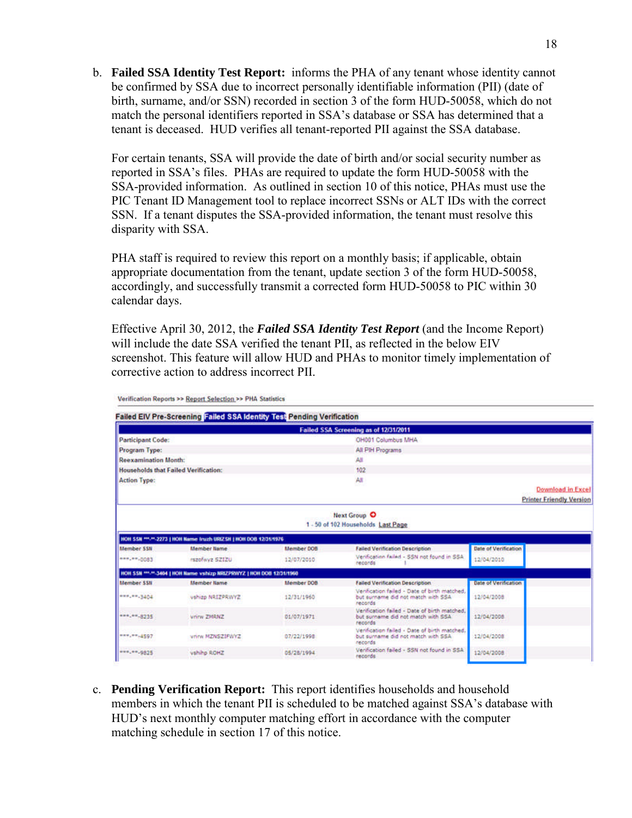b. **Failed SSA Identity Test Report:** informs the PHA of any tenant whose identity cannot be confirmed by SSA due to incorrect personally identifiable information (PII) (date of birth, surname, and/or SSN) recorded in section 3 of the form HUD-50058, which do not match the personal identifiers reported in SSA's database or SSA has determined that a tenant is deceased. HUD verifies all tenant-reported PII against the SSA database.

For certain tenants, SSA will provide the date of birth and/or social security number as reported in SSA's files. PHAs are required to update the form HUD-50058 with the SSA-provided information. As outlined in section 10 of this notice, PHAs must use the PIC Tenant ID Management tool to replace incorrect SSNs or ALT IDs with the correct SSN. If a tenant disputes the SSA-provided information, the tenant must resolve this disparity with SSA.

PHA staff is required to review this report on a monthly basis; if applicable, obtain appropriate documentation from the tenant, update section 3 of the form HUD-50058, accordingly, and successfully transmit a corrected form HUD-50058 to PIC within 30 calendar days.

Effective April 30, 2012, the *Failed SSA Identity Test Report* (and the Income Report) will include the date SSA verified the tenant PII, as reflected in the below EIV screenshot. This feature will allow HUD and PHAs to monitor timely implementation of corrective action to address incorrect PII.

|                                                                            |                                                                      |                   | Failed SSA Screening as of 12/31/2011                                                          |                                 |  |  |  |
|----------------------------------------------------------------------------|----------------------------------------------------------------------|-------------------|------------------------------------------------------------------------------------------------|---------------------------------|--|--|--|
| <b>Participant Code:</b>                                                   |                                                                      |                   | OH001 Columbus MHA                                                                             |                                 |  |  |  |
| Program Type:                                                              |                                                                      |                   | All PIH Programs                                                                               |                                 |  |  |  |
| <b>Reexamination Month:</b><br><b>Households that Failed Verification:</b> |                                                                      |                   | AII                                                                                            |                                 |  |  |  |
|                                                                            |                                                                      |                   | 102                                                                                            |                                 |  |  |  |
| <b>Action Type:</b>                                                        |                                                                      |                   | All                                                                                            |                                 |  |  |  |
|                                                                            |                                                                      |                   |                                                                                                | <b>Download in Excel</b>        |  |  |  |
|                                                                            |                                                                      |                   |                                                                                                | <b>Printer Friendly Version</b> |  |  |  |
|                                                                            |                                                                      |                   | <b>Next Group O</b><br>1 - 50 of 102 Households Last Page                                      |                                 |  |  |  |
|                                                                            | HOH SSN ***-**-2273   HOH Name Iruzh URIZSH   HOH DOB 12/31/1976     |                   |                                                                                                |                                 |  |  |  |
| <b>Member SSN</b>                                                          | <b>Member flame</b>                                                  | <b>Member DOB</b> | <b>Falled Verification Description</b>                                                         | <b>Date of Verification</b>     |  |  |  |
| eas, **. 0083                                                              | #szofwyz 5212U                                                       | 12/07/2010        | Verification failed - SSN not found in SSA<br>records                                          | 12/04/2010                      |  |  |  |
|                                                                            | HOH SSN ***.**-3404   HOH Name vshizp NRIZPRWYZ   HOH DOB 12/31/1960 |                   |                                                                                                |                                 |  |  |  |
| <b>Member SSII</b>                                                         | <b>Member Name</b>                                                   | <b>Member DOB</b> | <b>Failed Verification Description</b>                                                         | <b>Date of Verification</b>     |  |  |  |
| exe, en.3404                                                               | vshipp NRIZPRWYZ                                                     | 12/31/1960        | Verification failed - Date of birth matched,<br>but surname did not match with SSA<br>records  | 12/04/2008                      |  |  |  |
|                                                                            | Vnirw ZMRNZ                                                          | 01/07/1971        | Verification failed - Date of birth matched,<br>but surname did not match with SSA<br>records  | 12/04/2008                      |  |  |  |
| exe, ex.8235<br>$***,***,4597$                                             | vnivy MZNSZIFWYZ                                                     | 07/22/1998        | Verification failed - Date of birth matched.<br>but surname did not match with SSA.<br>records | 12/04/2008                      |  |  |  |

Verification Reports >> Report Selection >> PHA Statistics

c. **Pending Verification Report:** This report identifies households and household members in which the tenant PII is scheduled to be matched against SSA's database with HUD's next monthly computer matching effort in accordance with the computer matching schedule in section 17 of this notice.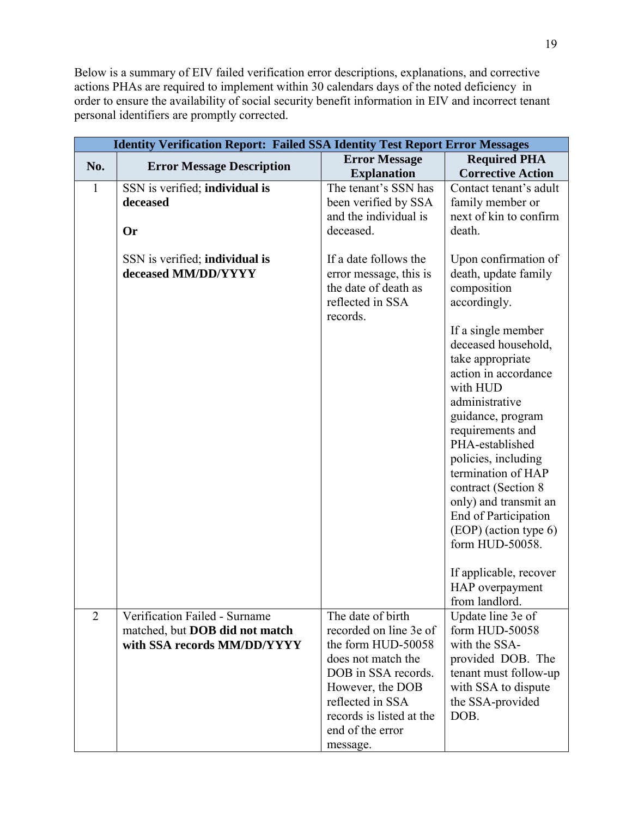Below is a summary of EIV failed verification error descriptions, explanations, and corrective actions PHAs are required to implement within 30 calendars days of the noted deficiency in order to ensure the availability of social security benefit information in EIV and incorrect tenant personal identifiers are promptly corrected.

|                |                                                                                                | <b>Identity Verification Report: Failed SSA Identity Test Report Error Messages</b>                                                                                                                                |                                                                                                                                                                                                                                                                                                                                                                                                                                                                              |  |  |  |
|----------------|------------------------------------------------------------------------------------------------|--------------------------------------------------------------------------------------------------------------------------------------------------------------------------------------------------------------------|------------------------------------------------------------------------------------------------------------------------------------------------------------------------------------------------------------------------------------------------------------------------------------------------------------------------------------------------------------------------------------------------------------------------------------------------------------------------------|--|--|--|
|                |                                                                                                | <b>Error Message</b>                                                                                                                                                                                               | <b>Required PHA</b>                                                                                                                                                                                                                                                                                                                                                                                                                                                          |  |  |  |
| No.            | <b>Error Message Description</b>                                                               | <b>Explanation</b>                                                                                                                                                                                                 | <b>Corrective Action</b>                                                                                                                                                                                                                                                                                                                                                                                                                                                     |  |  |  |
| $\mathbf{1}$   | SSN is verified; individual is<br>deceased<br>Or                                               | The tenant's SSN has<br>been verified by SSA<br>and the individual is<br>deceased.                                                                                                                                 | Contact tenant's adult<br>family member or<br>next of kin to confirm<br>death.                                                                                                                                                                                                                                                                                                                                                                                               |  |  |  |
|                | SSN is verified; individual is<br>deceased MM/DD/YYYY                                          | If a date follows the<br>error message, this is<br>the date of death as<br>reflected in SSA<br>records.                                                                                                            | Upon confirmation of<br>death, update family<br>composition<br>accordingly.<br>If a single member<br>deceased household,<br>take appropriate<br>action in accordance<br>with HUD<br>administrative<br>guidance, program<br>requirements and<br>PHA-established<br>policies, including<br>termination of HAP<br>contract (Section 8<br>only) and transmit an<br>End of Participation<br>(EOP) (action type 6)<br>form HUD-50058.<br>If applicable, recover<br>HAP overpayment |  |  |  |
| $\overline{2}$ | Verification Failed - Surname<br>matched, but DOB did not match<br>with SSA records MM/DD/YYYY | The date of birth<br>recorded on line 3e of<br>the form HUD-50058<br>does not match the<br>DOB in SSA records.<br>However, the DOB<br>reflected in SSA<br>records is listed at the<br>end of the error<br>message. | from landlord.<br>Update line 3e of<br>form HUD-50058<br>with the SSA-<br>provided DOB. The<br>tenant must follow-up<br>with SSA to dispute<br>the SSA-provided<br>DOB.                                                                                                                                                                                                                                                                                                      |  |  |  |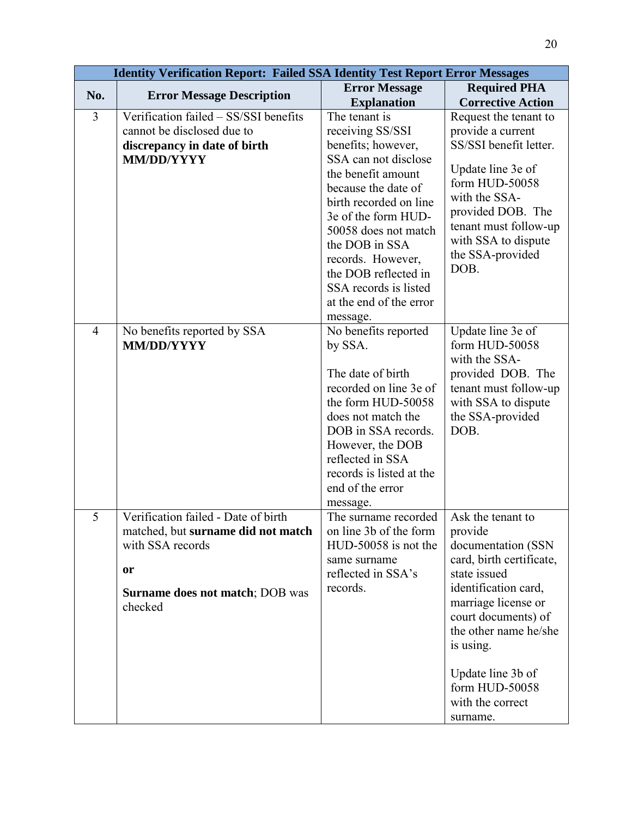|                | <b>Identity Verification Report: Failed SSA Identity Test Report Error Messages</b> |                                                |                              |
|----------------|-------------------------------------------------------------------------------------|------------------------------------------------|------------------------------|
| No.            | <b>Error Message Description</b>                                                    | <b>Error Message</b>                           | <b>Required PHA</b>          |
|                |                                                                                     | <b>Explanation</b>                             | <b>Corrective Action</b>     |
| 3              | Verification failed - SS/SSI benefits                                               | The tenant is                                  | Request the tenant to        |
|                | cannot be disclosed due to                                                          | receiving SS/SSI                               | provide a current            |
|                | discrepancy in date of birth                                                        | benefits; however,                             | SS/SSI benefit letter.       |
|                | <b>MM/DD/YYYY</b>                                                                   | SSA can not disclose                           | Update line 3e of            |
|                |                                                                                     | the benefit amount                             | form HUD-50058               |
|                |                                                                                     | because the date of                            | with the SSA-                |
|                |                                                                                     | birth recorded on line                         | provided DOB. The            |
|                |                                                                                     | 3e of the form HUD-<br>50058 does not match    | tenant must follow-up        |
|                |                                                                                     | the DOB in SSA                                 | with SSA to dispute          |
|                |                                                                                     | records. However,                              | the SSA-provided             |
|                |                                                                                     | the DOB reflected in                           | DOB.                         |
|                |                                                                                     | SSA records is listed                          |                              |
|                |                                                                                     | at the end of the error                        |                              |
|                |                                                                                     | message.                                       |                              |
| $\overline{4}$ | No benefits reported by SSA                                                         | No benefits reported                           | Update line 3e of            |
|                | <b>MM/DD/YYYY</b>                                                                   | by SSA.                                        | form HUD-50058               |
|                |                                                                                     |                                                | with the SSA-                |
|                |                                                                                     | The date of birth                              | provided DOB. The            |
|                |                                                                                     | recorded on line 3e of                         | tenant must follow-up        |
|                |                                                                                     | the form HUD-50058                             | with SSA to dispute          |
|                |                                                                                     | does not match the                             | the SSA-provided             |
|                |                                                                                     | DOB in SSA records.                            | DOB.                         |
|                |                                                                                     | However, the DOB                               |                              |
|                |                                                                                     | reflected in SSA                               |                              |
|                |                                                                                     | records is listed at the                       |                              |
|                |                                                                                     | end of the error                               |                              |
| $\overline{5}$ |                                                                                     | message.                                       |                              |
|                | Verification failed - Date of birth<br>matched, but surname did not match           | The surname recorded<br>on line 3b of the form | Ask the tenant to<br>provide |
|                | with SSA records                                                                    | HUD-50058 is not the                           | documentation (SSN           |
|                |                                                                                     | same surname                                   | card, birth certificate,     |
|                | or                                                                                  | reflected in SSA's                             | state issued                 |
|                |                                                                                     | records.                                       | identification card,         |
|                | <b>Surname does not match; DOB was</b>                                              |                                                | marriage license or          |
|                | checked                                                                             |                                                | court documents) of          |
|                |                                                                                     |                                                | the other name he/she        |
|                |                                                                                     |                                                | is using.                    |
|                |                                                                                     |                                                |                              |
|                |                                                                                     |                                                | Update line 3b of            |
|                |                                                                                     |                                                | form HUD-50058               |
|                |                                                                                     |                                                | with the correct             |
|                |                                                                                     |                                                | surname.                     |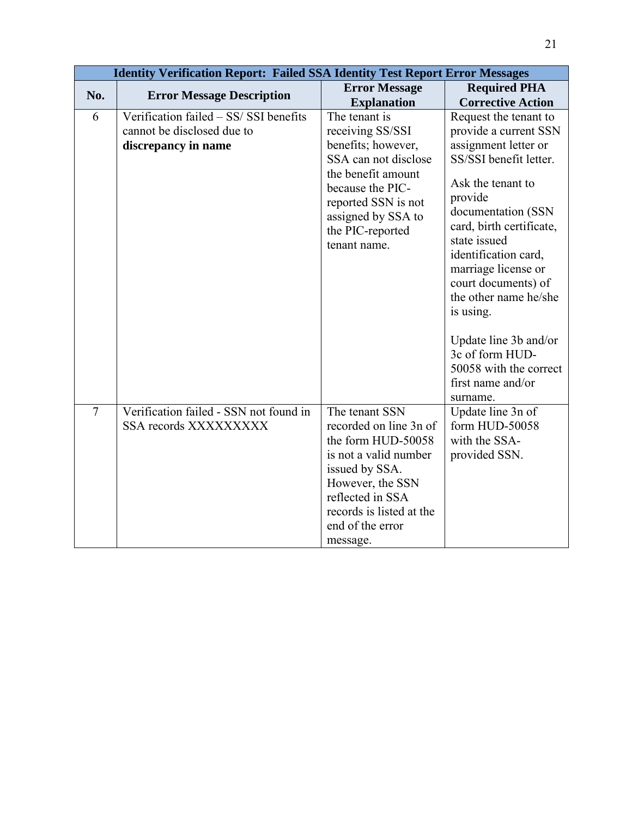|                |                                                                                             | <b>Identity Verification Report: Failed SSA Identity Test Report Error Messages</b>                                                                                                                           |                                                                                                                                                                                                                                                                                                                                                                                                                       |  |  |  |
|----------------|---------------------------------------------------------------------------------------------|---------------------------------------------------------------------------------------------------------------------------------------------------------------------------------------------------------------|-----------------------------------------------------------------------------------------------------------------------------------------------------------------------------------------------------------------------------------------------------------------------------------------------------------------------------------------------------------------------------------------------------------------------|--|--|--|
| No.            | <b>Error Message Description</b>                                                            | <b>Error Message</b>                                                                                                                                                                                          | <b>Required PHA</b>                                                                                                                                                                                                                                                                                                                                                                                                   |  |  |  |
|                |                                                                                             | <b>Explanation</b>                                                                                                                                                                                            | <b>Corrective Action</b>                                                                                                                                                                                                                                                                                                                                                                                              |  |  |  |
| 6              | Verification failed - SS/ SSI benefits<br>cannot be disclosed due to<br>discrepancy in name | The tenant is<br>receiving SS/SSI<br>benefits; however,<br>SSA can not disclose<br>the benefit amount<br>because the PIC-<br>reported SSN is not<br>assigned by SSA to<br>the PIC-reported<br>tenant name.    | Request the tenant to<br>provide a current SSN<br>assignment letter or<br>SS/SSI benefit letter.<br>Ask the tenant to<br>provide<br>documentation (SSN<br>card, birth certificate,<br>state issued<br>identification card,<br>marriage license or<br>court documents) of<br>the other name he/she<br>is using.<br>Update line 3b and/or<br>3c of form HUD-<br>50058 with the correct<br>first name and/or<br>surname. |  |  |  |
| $\overline{7}$ | Verification failed - SSN not found in<br>SSA records XXXXXXXXX                             | The tenant SSN<br>recorded on line 3n of<br>the form HUD-50058<br>is not a valid number<br>issued by SSA.<br>However, the SSN<br>reflected in SSA<br>records is listed at the<br>end of the error<br>message. | Update line 3n of<br>form HUD-50058<br>with the SSA-<br>provided SSN.                                                                                                                                                                                                                                                                                                                                                 |  |  |  |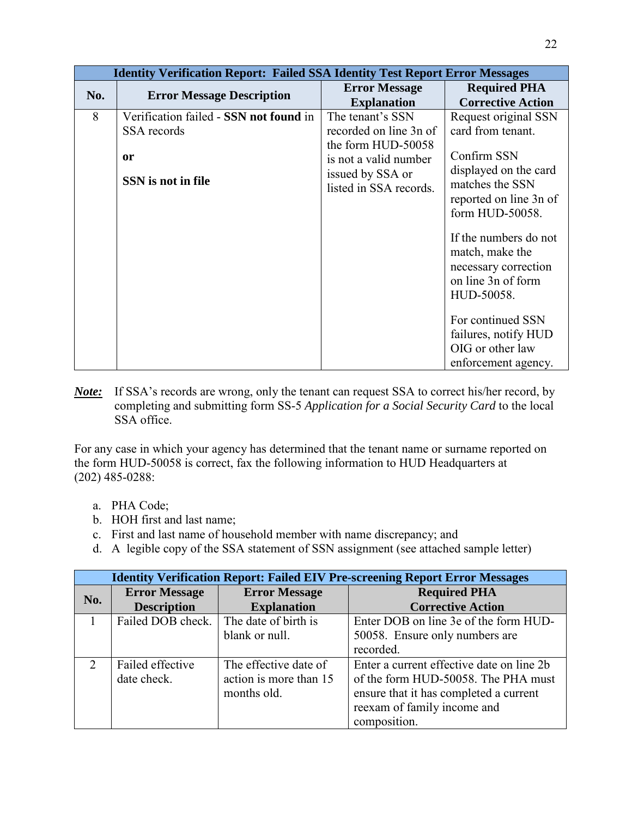| <b>Identity Verification Report: Failed SSA Identity Test Report Error Messages</b> |                                                                                   |                                                                                                                                         |                                                                                                                                                                                                                                                                                                                                                   |  |  |
|-------------------------------------------------------------------------------------|-----------------------------------------------------------------------------------|-----------------------------------------------------------------------------------------------------------------------------------------|---------------------------------------------------------------------------------------------------------------------------------------------------------------------------------------------------------------------------------------------------------------------------------------------------------------------------------------------------|--|--|
| No.                                                                                 | <b>Error Message Description</b>                                                  | <b>Error Message</b><br><b>Explanation</b>                                                                                              | <b>Required PHA</b><br><b>Corrective Action</b>                                                                                                                                                                                                                                                                                                   |  |  |
| 8                                                                                   | Verification failed - SSN not found in<br>SSA records<br>0r<br>SSN is not in file | The tenant's SSN<br>recorded on line 3n of<br>the form HUD-50058<br>is not a valid number<br>issued by SSA or<br>listed in SSA records. | Request original SSN<br>card from tenant.<br>Confirm SSN<br>displayed on the card<br>matches the SSN<br>reported on line 3n of<br>form HUD-50058.<br>If the numbers do not<br>match, make the<br>necessary correction<br>on line 3n of form<br>HUD-50058.<br>For continued SSN<br>failures, notify HUD<br>OIG or other law<br>enforcement agency. |  |  |

*Note:* If SSA's records are wrong, only the tenant can request SSA to correct his/her record, by completing and submitting form SS-5 *Application for a Social Security Card* to the local SSA office.

For any case in which your agency has determined that the tenant name or surname reported on the form HUD-50058 is correct, fax the following information to HUD Headquarters at (202) 485-0288:

- a. PHA Code;
- b. HOH first and last name;
- c. First and last name of household member with name discrepancy; and
- d. A legible copy of the SSA statement of SSN assignment (see attached sample letter)

| <b>Identity Verification Report: Failed EIV Pre-screening Report Error Messages</b> |                      |                        |                                           |  |  |
|-------------------------------------------------------------------------------------|----------------------|------------------------|-------------------------------------------|--|--|
| No.                                                                                 | <b>Error Message</b> | <b>Error Message</b>   | <b>Required PHA</b>                       |  |  |
|                                                                                     | <b>Description</b>   | <b>Explanation</b>     | <b>Corrective Action</b>                  |  |  |
|                                                                                     | Failed DOB check.    | The date of birth is   | Enter DOB on line 3e of the form HUD-     |  |  |
|                                                                                     |                      | blank or null.         | 50058. Ensure only numbers are            |  |  |
|                                                                                     |                      |                        | recorded.                                 |  |  |
| 2                                                                                   | Failed effective     | The effective date of  | Enter a current effective date on line 2b |  |  |
|                                                                                     | date check.          | action is more than 15 | of the form HUD-50058. The PHA must       |  |  |
|                                                                                     |                      | months old.            | ensure that it has completed a current    |  |  |
|                                                                                     |                      |                        | reexam of family income and               |  |  |
|                                                                                     |                      |                        | composition.                              |  |  |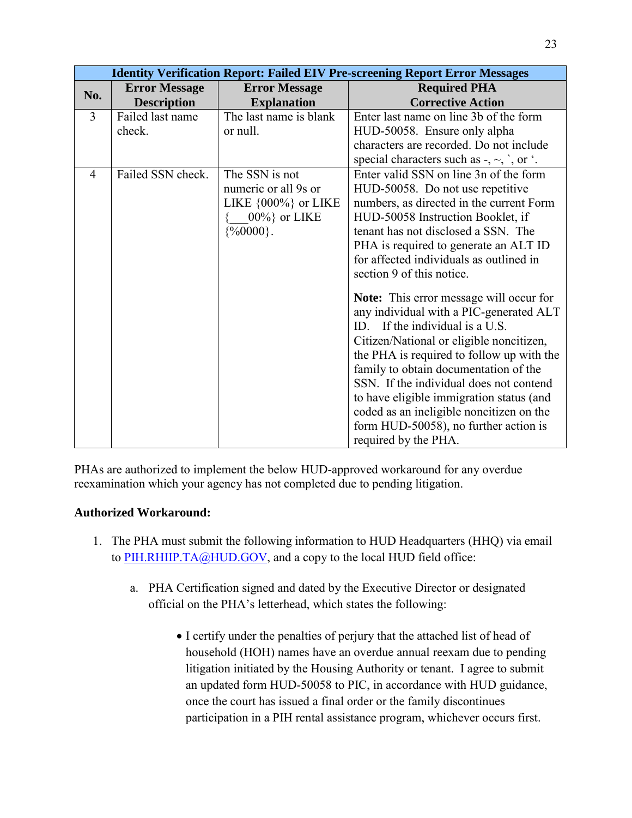|                | <b>Identity Verification Report: Failed EIV Pre-screening Report Error Messages</b> |                          |                                                                    |  |  |
|----------------|-------------------------------------------------------------------------------------|--------------------------|--------------------------------------------------------------------|--|--|
| No.            | <b>Error Message</b>                                                                | <b>Error Message</b>     | <b>Required PHA</b>                                                |  |  |
|                | <b>Description</b>                                                                  | <b>Explanation</b>       | <b>Corrective Action</b>                                           |  |  |
| $\overline{3}$ | Failed last name                                                                    | The last name is blank   | Enter last name on line 3b of the form                             |  |  |
|                | check.                                                                              | or null.                 | HUD-50058. Ensure only alpha                                       |  |  |
|                |                                                                                     |                          | characters are recorded. Do not include                            |  |  |
|                |                                                                                     |                          | special characters such as $-$ , $\sim$ , $\gamma$ , or $\gamma$ . |  |  |
| 4              | Failed SSN check.                                                                   | The SSN is not           | Enter valid SSN on line 3n of the form                             |  |  |
|                |                                                                                     | numeric or all 9s or     | HUD-50058. Do not use repetitive                                   |  |  |
|                |                                                                                     | LIKE $\{000\%$ } or LIKE | numbers, as directed in the current Form                           |  |  |
|                |                                                                                     | $00\%$ or LIKE           | HUD-50058 Instruction Booklet, if                                  |  |  |
|                |                                                                                     | $\{%0000\}$ .            | tenant has not disclosed a SSN. The                                |  |  |
|                |                                                                                     |                          | PHA is required to generate an ALT ID                              |  |  |
|                |                                                                                     |                          | for affected individuals as outlined in                            |  |  |
|                |                                                                                     |                          | section 9 of this notice.                                          |  |  |
|                |                                                                                     |                          | <b>Note:</b> This error message will occur for                     |  |  |
|                |                                                                                     |                          | any individual with a PIC-generated ALT                            |  |  |
|                |                                                                                     |                          | ID. If the individual is a U.S.                                    |  |  |
|                |                                                                                     |                          | Citizen/National or eligible noncitizen,                           |  |  |
|                |                                                                                     |                          | the PHA is required to follow up with the                          |  |  |
|                |                                                                                     |                          | family to obtain documentation of the                              |  |  |
|                |                                                                                     |                          | SSN. If the individual does not contend                            |  |  |
|                |                                                                                     |                          | to have eligible immigration status (and                           |  |  |
|                |                                                                                     |                          | coded as an ineligible noncitizen on the                           |  |  |
|                |                                                                                     |                          | form HUD-50058), no further action is                              |  |  |
|                |                                                                                     |                          | required by the PHA.                                               |  |  |

PHAs are authorized to implement the below HUD-approved workaround for any overdue reexamination which your agency has not completed due to pending litigation.

# **Authorized Workaround:**

- 1. The PHA must submit the following information to HUD Headquarters (HHQ) via email to [PIH.RHIIP.TA@HUD.GOV,](mailto:PIH.RHIIP.TA@HUD.GOV) and a copy to the local HUD field office:
	- a. PHA Certification signed and dated by the Executive Director or designated official on the PHA's letterhead, which states the following:
		- I certify under the penalties of perjury that the attached list of head of household (HOH) names have an overdue annual reexam due to pending litigation initiated by the Housing Authority or tenant. I agree to submit an updated form HUD-50058 to PIC, in accordance with HUD guidance, once the court has issued a final order or the family discontinues participation in a PIH rental assistance program, whichever occurs first.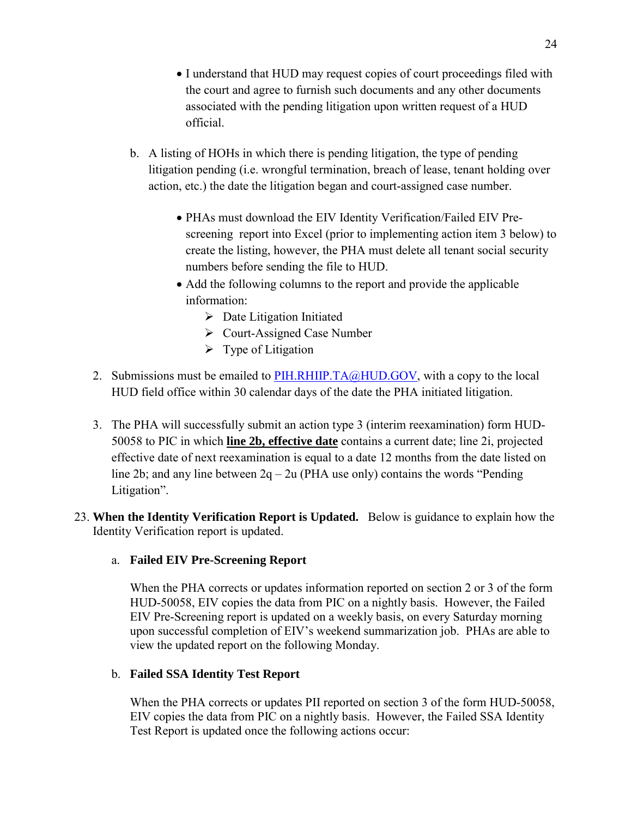- I understand that HUD may request copies of court proceedings filed with the court and agree to furnish such documents and any other documents associated with the pending litigation upon written request of a HUD official.
- b. A listing of HOHs in which there is pending litigation, the type of pending litigation pending (i.e. wrongful termination, breach of lease, tenant holding over action, etc.) the date the litigation began and court-assigned case number.
	- PHAs must download the EIV Identity Verification/Failed EIV Prescreening report into Excel (prior to implementing action item 3 below) to create the listing, however, the PHA must delete all tenant social security numbers before sending the file to HUD.
	- Add the following columns to the report and provide the applicable information:
		- $\triangleright$  Date Litigation Initiated
		- Court-Assigned Case Number
		- $\triangleright$  Type of Litigation
- 2. Submissions must be emailed to [PIH.RHIIP.TA@HUD.GOV](mailto:PIH.RHIIP.TA@HUD.GOV), with a copy to the local HUD field office within 30 calendar days of the date the PHA initiated litigation.
- 3. The PHA will successfully submit an action type 3 (interim reexamination) form HUD-50058 to PIC in which **line 2b, effective date** contains a current date; line 2i, projected effective date of next reexamination is equal to a date 12 months from the date listed on line 2b; and any line between  $2q - 2u$  (PHA use only) contains the words "Pending Litigation".
- 23. **When the Identity Verification Report is Updated.** Below is guidance to explain how the Identity Verification report is updated.

# a. **Failed EIV Pre-Screening Report**

When the PHA corrects or updates information reported on section 2 or 3 of the form HUD-50058, EIV copies the data from PIC on a nightly basis. However, the Failed EIV Pre-Screening report is updated on a weekly basis, on every Saturday morning upon successful completion of EIV's weekend summarization job. PHAs are able to view the updated report on the following Monday.

## b. **Failed SSA Identity Test Report**

When the PHA corrects or updates PII reported on section 3 of the form HUD-50058, EIV copies the data from PIC on a nightly basis. However, the Failed SSA Identity Test Report is updated once the following actions occur: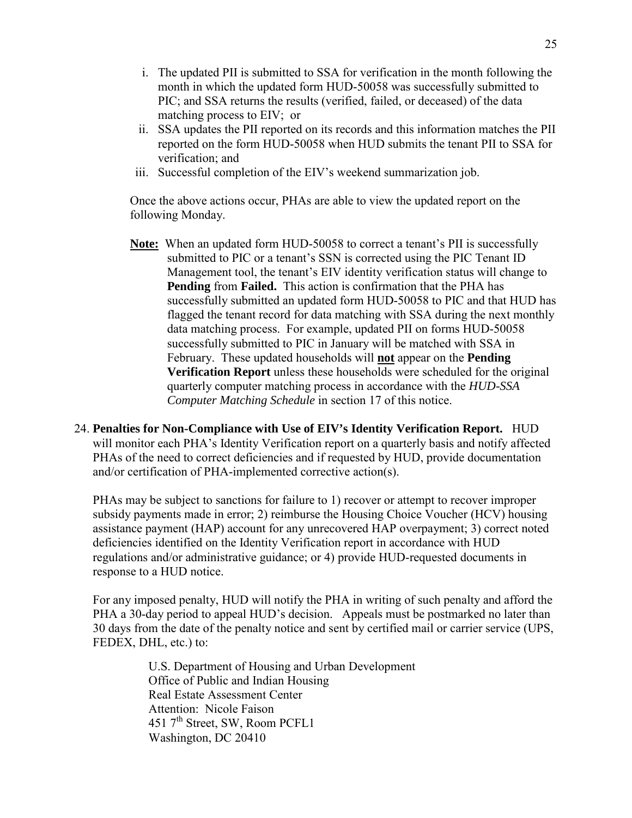- i. The updated PII is submitted to SSA for verification in the month following the month in which the updated form HUD-50058 was successfully submitted to PIC; and SSA returns the results (verified, failed, or deceased) of the data matching process to EIV; or
- ii. SSA updates the PII reported on its records and this information matches the PII reported on the form HUD-50058 when HUD submits the tenant PII to SSA for verification; and
- iii. Successful completion of the EIV's weekend summarization job.

Once the above actions occur, PHAs are able to view the updated report on the following Monday.

- **Note:** When an updated form HUD-50058 to correct a tenant's PII is successfully submitted to PIC or a tenant's SSN is corrected using the PIC Tenant ID Management tool, the tenant's EIV identity verification status will change to **Pending** from **Failed.** This action is confirmation that the PHA has successfully submitted an updated form HUD-50058 to PIC and that HUD has flagged the tenant record for data matching with SSA during the next monthly data matching process. For example, updated PII on forms HUD-50058 successfully submitted to PIC in January will be matched with SSA in February. These updated households will **not** appear on the **Pending Verification Report** unless these households were scheduled for the original quarterly computer matching process in accordance with the *HUD-SSA Computer Matching Schedule* in section 17 of this notice.
- 24. **Penalties for Non-Compliance with Use of EIV's Identity Verification Report.** HUD will monitor each PHA's Identity Verification report on a quarterly basis and notify affected PHAs of the need to correct deficiencies and if requested by HUD, provide documentation and/or certification of PHA-implemented corrective action(s).

PHAs may be subject to sanctions for failure to 1) recover or attempt to recover improper subsidy payments made in error; 2) reimburse the Housing Choice Voucher (HCV) housing assistance payment (HAP) account for any unrecovered HAP overpayment; 3) correct noted deficiencies identified on the Identity Verification report in accordance with HUD regulations and/or administrative guidance; or 4) provide HUD-requested documents in response to a HUD notice.

For any imposed penalty, HUD will notify the PHA in writing of such penalty and afford the PHA a 30-day period to appeal HUD's decision. Appeals must be postmarked no later than 30 days from the date of the penalty notice and sent by certified mail or carrier service (UPS, FEDEX, DHL, etc.) to:

> U.S. Department of Housing and Urban Development Office of Public and Indian Housing Real Estate Assessment Center Attention: Nicole Faison 451 7<sup>th</sup> Street, SW, Room PCFL1 Washington, DC 20410